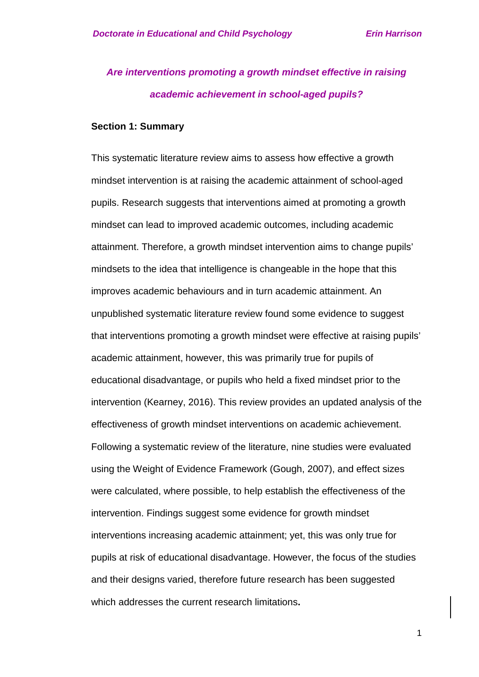# *Are interventions promoting a growth mindset effective in raising academic achievement in school-aged pupils?*

#### **Section 1: Summary**

This systematic literature review aims to assess how effective a growth mindset intervention is at raising the academic attainment of school-aged pupils. Research suggests that interventions aimed at promoting a growth mindset can lead to improved academic outcomes, including academic attainment. Therefore, a growth mindset intervention aims to change pupils' mindsets to the idea that intelligence is changeable in the hope that this improves academic behaviours and in turn academic attainment. An unpublished systematic literature review found some evidence to suggest that interventions promoting a growth mindset were effective at raising pupils' academic attainment, however, this was primarily true for pupils of educational disadvantage, or pupils who held a fixed mindset prior to the intervention (Kearney, 2016). This review provides an updated analysis of the effectiveness of growth mindset interventions on academic achievement. Following a systematic review of the literature, nine studies were evaluated using the Weight of Evidence Framework (Gough, 2007), and effect sizes were calculated, where possible, to help establish the effectiveness of the intervention. Findings suggest some evidence for growth mindset interventions increasing academic attainment; yet, this was only true for pupils at risk of educational disadvantage. However, the focus of the studies and their designs varied, therefore future research has been suggested which addresses the current research limitations**.**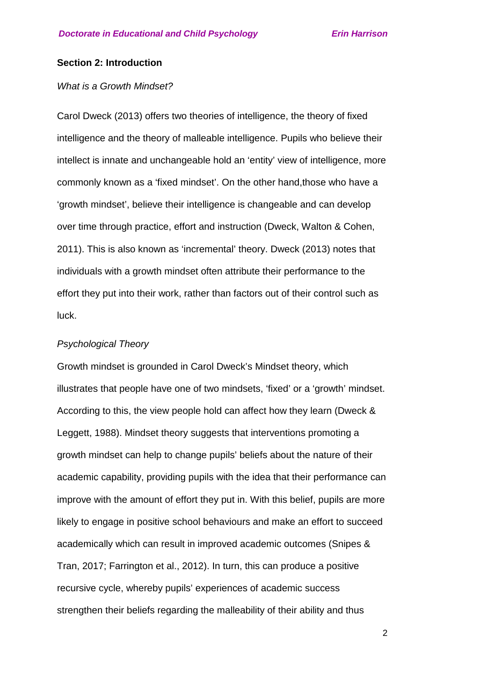#### **Section 2: Introduction**

#### *What is a Growth Mindset?*

Carol Dweck (2013) offers two theories of intelligence, the theory of fixed intelligence and the theory of malleable intelligence. Pupils who believe their intellect is innate and unchangeable hold an 'entity' view of intelligence, more commonly known as a 'fixed mindset'. On the other hand,those who have a 'growth mindset', believe their intelligence is changeable and can develop over time through practice, effort and instruction (Dweck, Walton & Cohen, 2011). This is also known as 'incremental' theory. Dweck (2013) notes that individuals with a growth mindset often attribute their performance to the effort they put into their work, rather than factors out of their control such as luck.

#### *Psychological Theory*

Growth mindset is grounded in Carol Dweck's Mindset theory, which illustrates that people have one of two mindsets, 'fixed' or a 'growth' mindset. According to this, the view people hold can affect how they learn (Dweck & Leggett, 1988). Mindset theory suggests that interventions promoting a growth mindset can help to change pupils' beliefs about the nature of their academic capability, providing pupils with the idea that their performance can improve with the amount of effort they put in. With this belief, pupils are more likely to engage in positive school behaviours and make an effort to succeed academically which can result in improved academic outcomes (Snipes & Tran, 2017; Farrington et al., 2012). In turn, this can produce a positive recursive cycle, whereby pupils' experiences of academic success strengthen their beliefs regarding the malleability of their ability and thus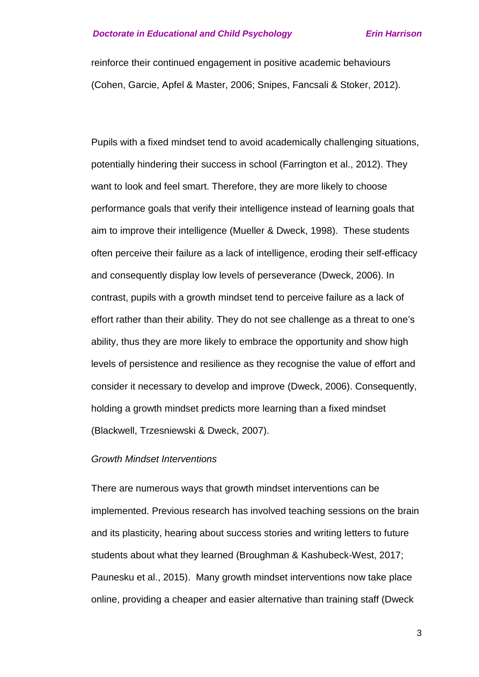reinforce their continued engagement in positive academic behaviours (Cohen, Garcie, Apfel & Master, 2006; Snipes, Fancsali & Stoker, 2012).

Pupils with a fixed mindset tend to avoid academically challenging situations, potentially hindering their success in school (Farrington et al., 2012). They want to look and feel smart. Therefore, they are more likely to choose performance goals that verify their intelligence instead of learning goals that aim to improve their intelligence (Mueller & Dweck, 1998). These students often perceive their failure as a lack of intelligence, eroding their self-efficacy and consequently display low levels of perseverance (Dweck, 2006). In contrast, pupils with a growth mindset tend to perceive failure as a lack of effort rather than their ability. They do not see challenge as a threat to one's ability, thus they are more likely to embrace the opportunity and show high levels of persistence and resilience as they recognise the value of effort and consider it necessary to develop and improve (Dweck, 2006). Consequently, holding a growth mindset predicts more learning than a fixed mindset (Blackwell, Trzesniewski & Dweck, 2007).

#### *Growth Mindset Interventions*

There are numerous ways that growth mindset interventions can be implemented. Previous research has involved teaching sessions on the brain and its plasticity, hearing about success stories and writing letters to future students about what they learned (Broughman & Kashubeck-West, 2017; Paunesku et al., 2015). Many growth mindset interventions now take place online, providing a cheaper and easier alternative than training staff (Dweck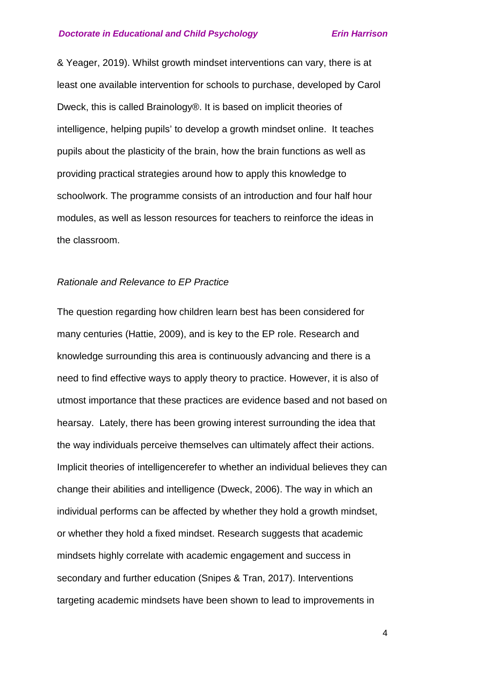& Yeager, 2019). Whilst growth mindset interventions can vary, there is at least one available intervention for schools to purchase, developed by Carol Dweck, this is called Brainology®. It is based on implicit theories of intelligence, helping pupils' to develop a growth mindset online. It teaches pupils about the plasticity of the brain, how the brain functions as well as providing practical strategies around how to apply this knowledge to schoolwork. The programme consists of an introduction and four half hour modules, as well as lesson resources for teachers to reinforce the ideas in the classroom.

#### *Rationale and Relevance to EP Practice*

The question regarding how children learn best has been considered for many centuries (Hattie, 2009), and is key to the EP role. Research and knowledge surrounding this area is continuously advancing and there is a need to find effective ways to apply theory to practice. However, it is also of utmost importance that these practices are evidence based and not based on hearsay. Lately, there has been growing interest surrounding the idea that the way individuals perceive themselves can ultimately affect their actions. Implicit theories of intelligencerefer to whether an individual believes they can change their abilities and intelligence (Dweck, 2006). The way in which an individual performs can be affected by whether they hold a growth mindset, or whether they hold a fixed mindset. Research suggests that academic mindsets highly correlate with academic engagement and success in secondary and further education (Snipes & Tran, 2017). Interventions targeting academic mindsets have been shown to lead to improvements in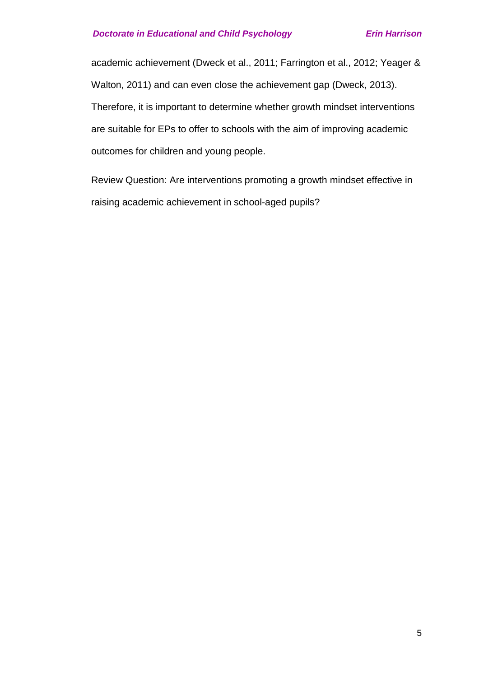academic achievement (Dweck et al., 2011; Farrington et al., 2012; Yeager & Walton, 2011) and can even close the achievement gap (Dweck, 2013). Therefore, it is important to determine whether growth mindset interventions are suitable for EPs to offer to schools with the aim of improving academic outcomes for children and young people.

Review Question: Are interventions promoting a growth mindset effective in raising academic achievement in school-aged pupils?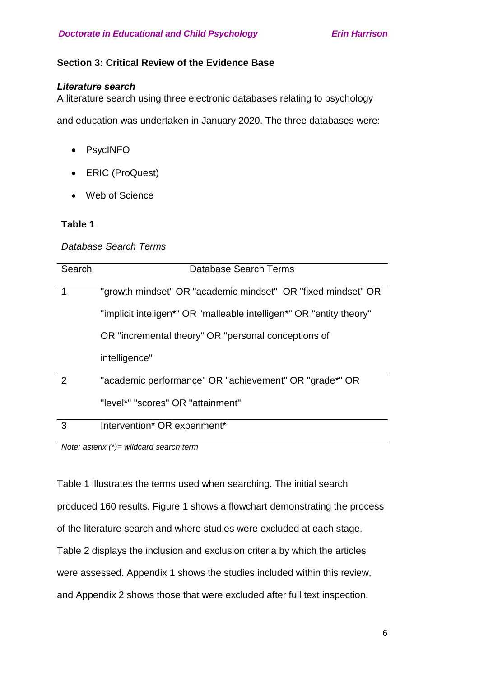# **Section 3: Critical Review of the Evidence Base**

## *Literature search*

A literature search using three electronic databases relating to psychology

and education was undertaken in January 2020. The three databases were:

- PsycINFO
- ERIC (ProQuest)
- Web of Science

# **Table 1**

## *Database Search Terms*

| Search        | Database Search Terms                                               |
|---------------|---------------------------------------------------------------------|
|               | "growth mindset" OR "academic mindset" OR "fixed mindset" OR        |
|               | "implicit inteligen*" OR "malleable intelligen*" OR "entity theory" |
|               | OR "incremental theory" OR "personal conceptions of                 |
|               | intelligence"                                                       |
| $\mathcal{P}$ | "academic performance" OR "achievement" OR "grade*" OR              |
|               | "level*" "scores" OR "attainment"                                   |
| 3             | Intervention* OR experiment*                                        |

*Note: asterix (\*)= wildcard search term* 

Table 1 illustrates the terms used when searching. The initial search produced 160 results. Figure 1 shows a flowchart demonstrating the process of the literature search and where studies were excluded at each stage. Table 2 displays the inclusion and exclusion criteria by which the articles were assessed. Appendix 1 shows the studies included within this review, and Appendix 2 shows those that were excluded after full text inspection.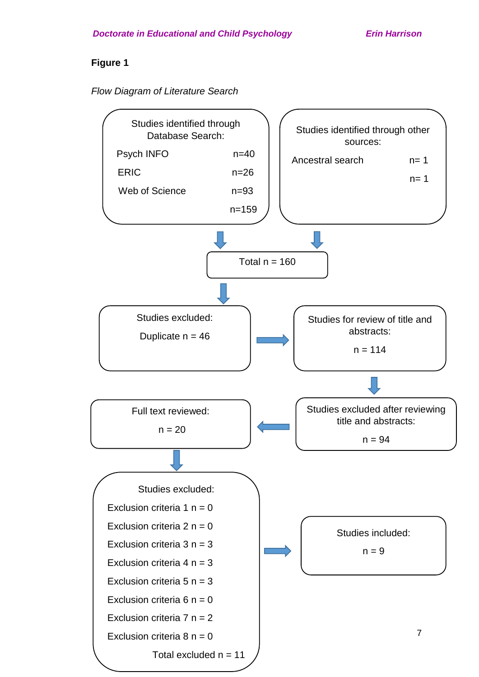# **Figure 1**

*Flow Diagram of Literature Search* 

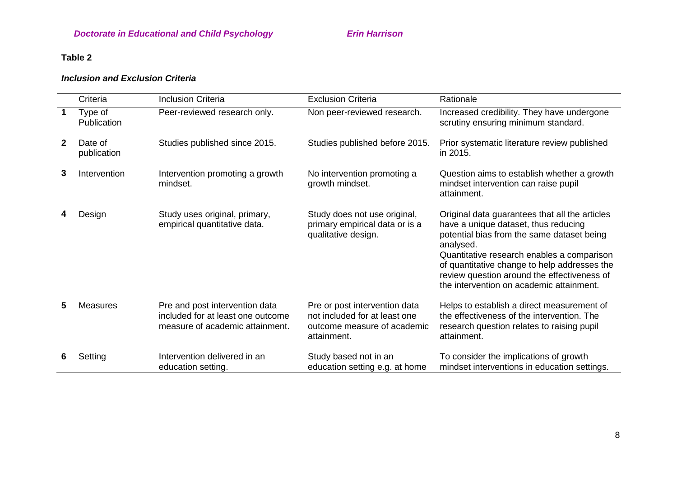# **Table 2**

# *Inclusion and Exclusion Criteria*

|              | Criteria               | <b>Inclusion Criteria</b>                                                                              | <b>Exclusion Criteria</b>                                                                                    | Rationale                                                                                                                                                                                                                                                                                                                                  |
|--------------|------------------------|--------------------------------------------------------------------------------------------------------|--------------------------------------------------------------------------------------------------------------|--------------------------------------------------------------------------------------------------------------------------------------------------------------------------------------------------------------------------------------------------------------------------------------------------------------------------------------------|
|              | Type of<br>Publication | Peer-reviewed research only.                                                                           | Non peer-reviewed research.                                                                                  | Increased credibility. They have undergone<br>scrutiny ensuring minimum standard.                                                                                                                                                                                                                                                          |
| $\mathbf{2}$ | Date of<br>publication | Studies published since 2015.                                                                          | Studies published before 2015.                                                                               | Prior systematic literature review published<br>in 2015.                                                                                                                                                                                                                                                                                   |
| 3            | Intervention           | Intervention promoting a growth<br>mindset.                                                            | No intervention promoting a<br>growth mindset.                                                               | Question aims to establish whether a growth<br>mindset intervention can raise pupil<br>attainment.                                                                                                                                                                                                                                         |
|              | Design                 | Study uses original, primary,<br>empirical quantitative data.                                          | Study does not use original,<br>primary empirical data or is a<br>qualitative design.                        | Original data guarantees that all the articles<br>have a unique dataset, thus reducing<br>potential bias from the same dataset being<br>analysed.<br>Quantitative research enables a comparison<br>of quantitative change to help addresses the<br>review question around the effectiveness of<br>the intervention on academic attainment. |
| 5            | <b>Measures</b>        | Pre and post intervention data<br>included for at least one outcome<br>measure of academic attainment. | Pre or post intervention data<br>not included for at least one<br>outcome measure of academic<br>attainment. | Helps to establish a direct measurement of<br>the effectiveness of the intervention. The<br>research question relates to raising pupil<br>attainment.                                                                                                                                                                                      |
|              | Setting                | Intervention delivered in an<br>education setting.                                                     | Study based not in an<br>education setting e.g. at home                                                      | To consider the implications of growth<br>mindset interventions in education settings.                                                                                                                                                                                                                                                     |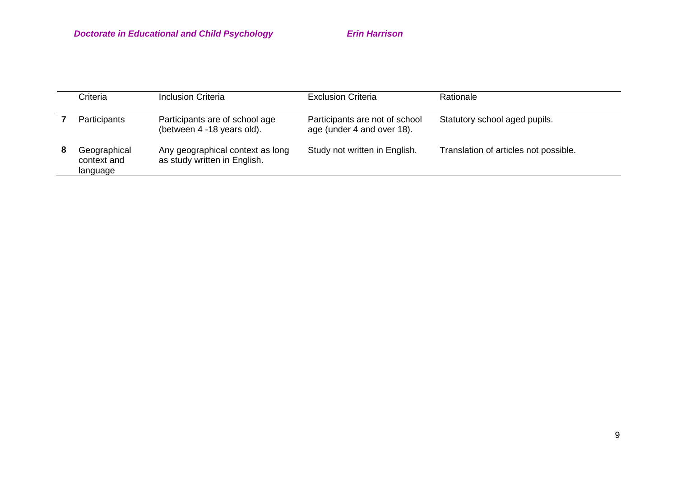|   | Criteria                                | <b>Inclusion Criteria</b>                                        | <b>Exclusion Criteria</b>                                    | Rationale                             |
|---|-----------------------------------------|------------------------------------------------------------------|--------------------------------------------------------------|---------------------------------------|
|   | Participants                            | Participants are of school age<br>(between 4 -18 years old).     | Participants are not of school<br>age (under 4 and over 18). | Statutory school aged pupils.         |
| 8 | Geographical<br>context and<br>language | Any geographical context as long<br>as study written in English. | Study not written in English.                                | Translation of articles not possible. |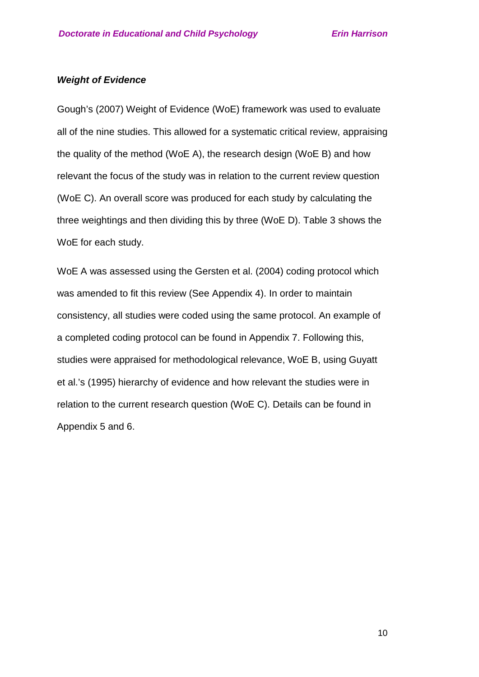#### *Weight of Evidence*

Gough's (2007) Weight of Evidence (WoE) framework was used to evaluate all of the nine studies. This allowed for a systematic critical review, appraising the quality of the method (WoE A), the research design (WoE B) and how relevant the focus of the study was in relation to the current review question (WoE C). An overall score was produced for each study by calculating the three weightings and then dividing this by three (WoE D). Table 3 shows the WoE for each study.

WoE A was assessed using the Gersten et al. (2004) coding protocol which was amended to fit this review (See Appendix 4). In order to maintain consistency, all studies were coded using the same protocol. An example of a completed coding protocol can be found in Appendix 7. Following this, studies were appraised for methodological relevance, WoE B, using Guyatt et al.'s (1995) hierarchy of evidence and how relevant the studies were in relation to the current research question (WoE C). Details can be found in Appendix 5 and 6.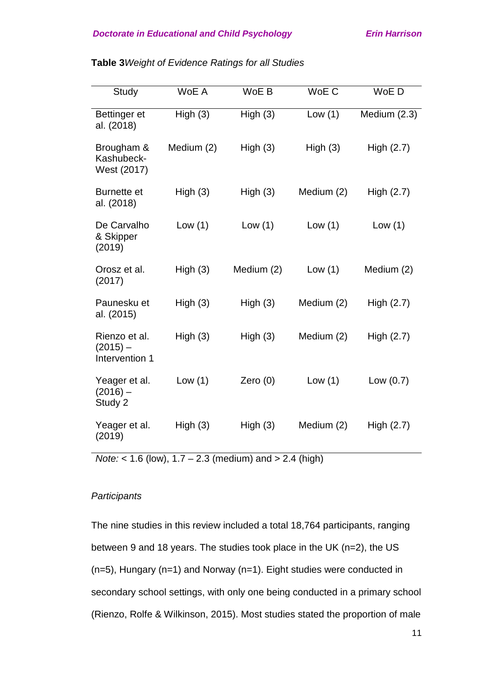| Study                                         | WoE A      | WoE B      | WoE C      | WoE D        |
|-----------------------------------------------|------------|------------|------------|--------------|
| Bettinger et<br>al. (2018)                    | High(3)    | High(3)    | Low(1)     | Medium (2.3) |
| Brougham &<br>Kashubeck-<br>West (2017)       | Medium (2) | High(3)    | High(3)    | High $(2.7)$ |
| <b>Burnette et</b><br>al. (2018)              | High(3)    | High(3)    | Medium (2) | High (2.7)   |
| De Carvalho<br>& Skipper<br>(2019)            | Low(1)     | Low(1)     | Low $(1)$  | Low $(1)$    |
| Orosz et al.<br>(2017)                        | High(3)    | Medium (2) | Low(1)     | Medium (2)   |
| Paunesku et<br>al. (2015)                     | High(3)    | High(3)    | Medium (2) | High $(2.7)$ |
| Rienzo et al.<br>$(2015) -$<br>Intervention 1 | High(3)    | High(3)    | Medium (2) | High $(2.7)$ |
| Yeager et al.<br>$(2016) -$<br>Study 2        | Low(1)     | Zero $(0)$ | Low $(1)$  | Low $(0.7)$  |
| Yeager et al.<br>(2019)                       | High(3)    | High(3)    | Medium (2) | High $(2.7)$ |

**Table 3***Weight of Evidence Ratings for all Studies*

*Note:* < 1.6 (low), 1.7 – 2.3 (medium) and > 2.4 (high)

#### *Participants*

The nine studies in this review included a total 18,764 participants, ranging between 9 and 18 years. The studies took place in the UK (n=2), the US (n=5), Hungary (n=1) and Norway (n=1). Eight studies were conducted in secondary school settings, with only one being conducted in a primary school (Rienzo, Rolfe & Wilkinson, 2015). Most studies stated the proportion of male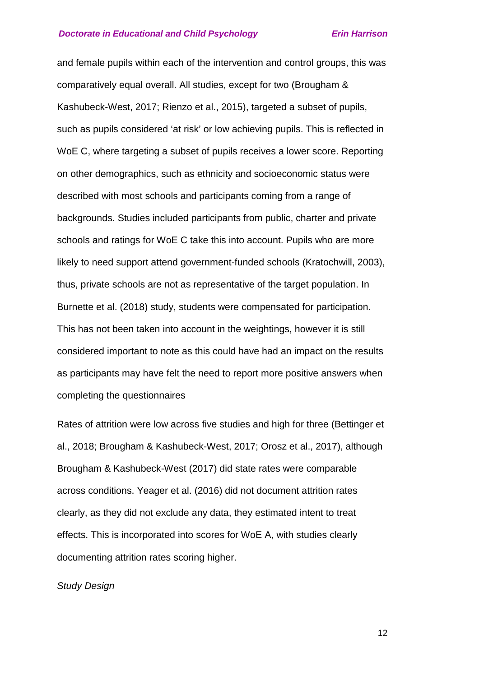and female pupils within each of the intervention and control groups, this was comparatively equal overall. All studies, except for two (Brougham & Kashubeck-West, 2017; Rienzo et al., 2015), targeted a subset of pupils, such as pupils considered 'at risk' or low achieving pupils. This is reflected in WoE C, where targeting a subset of pupils receives a lower score. Reporting on other demographics, such as ethnicity and socioeconomic status were described with most schools and participants coming from a range of backgrounds. Studies included participants from public, charter and private schools and ratings for WoE C take this into account. Pupils who are more likely to need support attend government-funded schools (Kratochwill, 2003), thus, private schools are not as representative of the target population. In Burnette et al. (2018) study, students were compensated for participation. This has not been taken into account in the weightings, however it is still considered important to note as this could have had an impact on the results as participants may have felt the need to report more positive answers when completing the questionnaires

Rates of attrition were low across five studies and high for three (Bettinger et al., 2018; Brougham & Kashubeck-West, 2017; Orosz et al., 2017), although Brougham & Kashubeck-West (2017) did state rates were comparable across conditions. Yeager et al. (2016) did not document attrition rates clearly, as they did not exclude any data, they estimated intent to treat effects. This is incorporated into scores for WoE A, with studies clearly documenting attrition rates scoring higher.

#### *Study Design*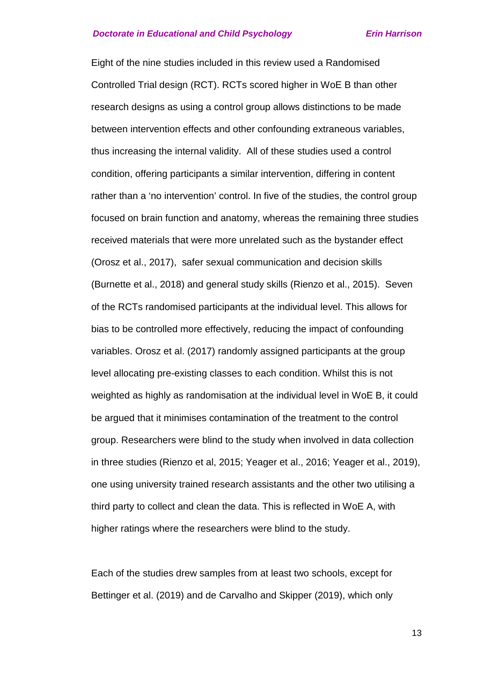Eight of the nine studies included in this review used a Randomised Controlled Trial design (RCT). RCTs scored higher in WoE B than other research designs as using a control group allows distinctions to be made between intervention effects and other confounding extraneous variables, thus increasing the internal validity. All of these studies used a control condition, offering participants a similar intervention, differing in content rather than a 'no intervention' control. In five of the studies, the control group focused on brain function and anatomy, whereas the remaining three studies received materials that were more unrelated such as the bystander effect (Orosz et al., 2017), safer sexual communication and decision skills (Burnette et al., 2018) and general study skills (Rienzo et al., 2015). Seven of the RCTs randomised participants at the individual level. This allows for bias to be controlled more effectively, reducing the impact of confounding variables. Orosz et al. (2017) randomly assigned participants at the group level allocating pre-existing classes to each condition. Whilst this is not weighted as highly as randomisation at the individual level in WoE B, it could be argued that it minimises contamination of the treatment to the control group. Researchers were blind to the study when involved in data collection in three studies (Rienzo et al, 2015; Yeager et al., 2016; Yeager et al., 2019), one using university trained research assistants and the other two utilising a third party to collect and clean the data. This is reflected in WoE A, with higher ratings where the researchers were blind to the study.

Each of the studies drew samples from at least two schools, except for Bettinger et al. (2019) and de Carvalho and Skipper (2019), which only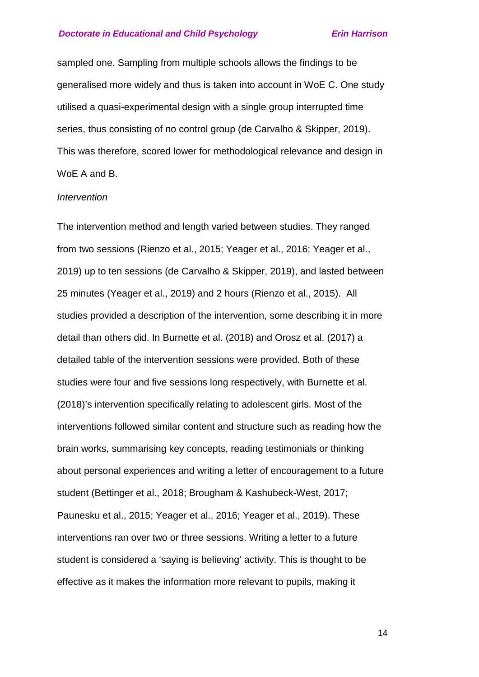sampled one. Sampling from multiple schools allows the findings to be generalised more widely and thus is taken into account in WoE C. One study utilised a quasi-experimental design with a single group interrupted time series, thus consisting of no control group (de Carvalho & Skipper, 2019). This was therefore, scored lower for methodological relevance and design in WoE A and B.

#### *Intervention*

The intervention method and length varied between studies. They ranged from two sessions (Rienzo et al., 2015; Yeager et al., 2016; Yeager et al., 2019) up to ten sessions (de Carvalho & Skipper, 2019), and lasted between 25 minutes (Yeager et al., 2019) and 2 hours (Rienzo et al., 2015). All studies provided a description of the intervention, some describing it in more detail than others did. In Burnette et al. (2018) and Orosz et al. (2017) a detailed table of the intervention sessions were provided. Both of these studies were four and five sessions long respectively, with Burnette et al. (2018)'s intervention specifically relating to adolescent girls. Most of the interventions followed similar content and structure such as reading how the brain works, summarising key concepts, reading testimonials or thinking about personal experiences and writing a letter of encouragement to a future student (Bettinger et al., 2018; Brougham & Kashubeck-West, 2017; Paunesku et al., 2015; Yeager et al., 2016; Yeager et al., 2019). These interventions ran over two or three sessions. Writing a letter to a future student is considered a 'saying is believing' activity. This is thought to be effective as it makes the information more relevant to pupils, making it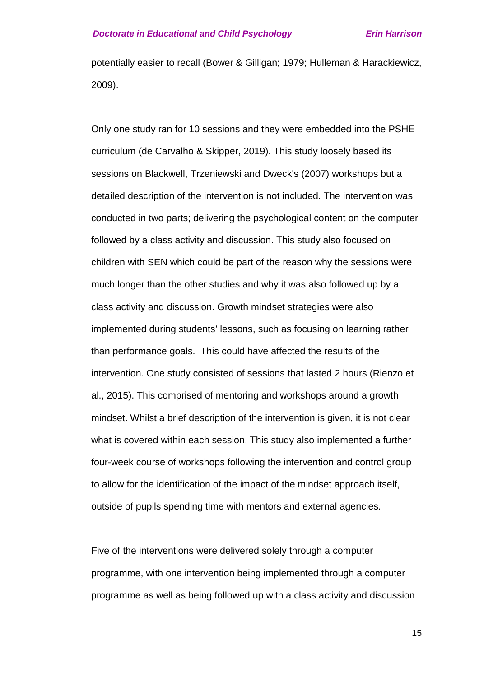potentially easier to recall (Bower & Gilligan; 1979; Hulleman & Harackiewicz, 2009).

Only one study ran for 10 sessions and they were embedded into the PSHE curriculum (de Carvalho & Skipper, 2019). This study loosely based its sessions on Blackwell, Trzeniewski and Dweck's (2007) workshops but a detailed description of the intervention is not included. The intervention was conducted in two parts; delivering the psychological content on the computer followed by a class activity and discussion. This study also focused on children with SEN which could be part of the reason why the sessions were much longer than the other studies and why it was also followed up by a class activity and discussion. Growth mindset strategies were also implemented during students' lessons, such as focusing on learning rather than performance goals. This could have affected the results of the intervention. One study consisted of sessions that lasted 2 hours (Rienzo et al., 2015). This comprised of mentoring and workshops around a growth mindset. Whilst a brief description of the intervention is given, it is not clear what is covered within each session. This study also implemented a further four-week course of workshops following the intervention and control group to allow for the identification of the impact of the mindset approach itself, outside of pupils spending time with mentors and external agencies.

Five of the interventions were delivered solely through a computer programme, with one intervention being implemented through a computer programme as well as being followed up with a class activity and discussion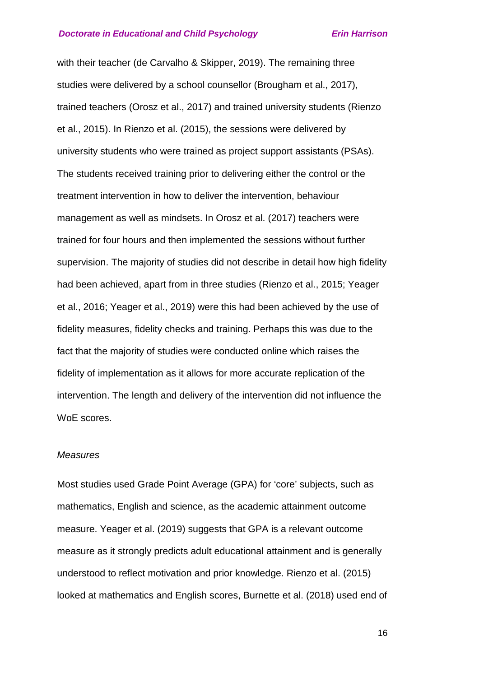with their teacher (de Carvalho & Skipper, 2019). The remaining three studies were delivered by a school counsellor (Brougham et al., 2017), trained teachers (Orosz et al., 2017) and trained university students (Rienzo et al., 2015). In Rienzo et al. (2015), the sessions were delivered by university students who were trained as project support assistants (PSAs). The students received training prior to delivering either the control or the treatment intervention in how to deliver the intervention, behaviour management as well as mindsets. In Orosz et al. (2017) teachers were trained for four hours and then implemented the sessions without further supervision. The majority of studies did not describe in detail how high fidelity had been achieved, apart from in three studies (Rienzo et al., 2015; Yeager et al., 2016; Yeager et al., 2019) were this had been achieved by the use of fidelity measures, fidelity checks and training. Perhaps this was due to the fact that the majority of studies were conducted online which raises the fidelity of implementation as it allows for more accurate replication of the intervention. The length and delivery of the intervention did not influence the WoE scores.

#### *Measures*

Most studies used Grade Point Average (GPA) for 'core' subjects, such as mathematics, English and science, as the academic attainment outcome measure. Yeager et al. (2019) suggests that GPA is a relevant outcome measure as it strongly predicts adult educational attainment and is generally understood to reflect motivation and prior knowledge. Rienzo et al. (2015) looked at mathematics and English scores, Burnette et al. (2018) used end of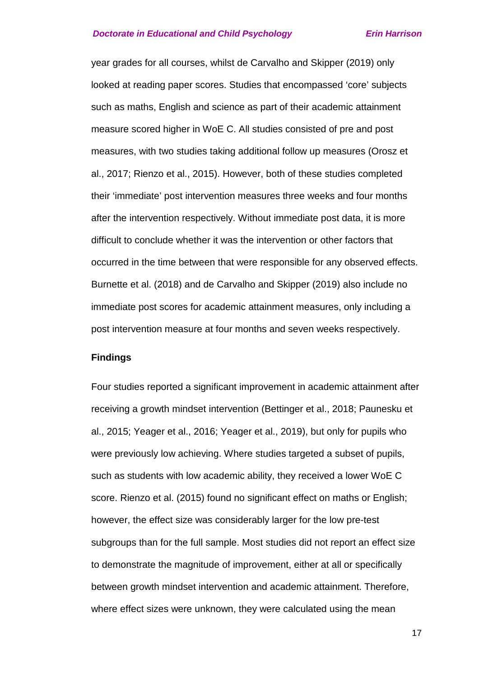year grades for all courses, whilst de Carvalho and Skipper (2019) only looked at reading paper scores. Studies that encompassed 'core' subjects such as maths, English and science as part of their academic attainment measure scored higher in WoE C. All studies consisted of pre and post measures, with two studies taking additional follow up measures (Orosz et al., 2017; Rienzo et al., 2015). However, both of these studies completed their 'immediate' post intervention measures three weeks and four months after the intervention respectively. Without immediate post data, it is more difficult to conclude whether it was the intervention or other factors that occurred in the time between that were responsible for any observed effects. Burnette et al. (2018) and de Carvalho and Skipper (2019) also include no immediate post scores for academic attainment measures, only including a post intervention measure at four months and seven weeks respectively.

### **Findings**

Four studies reported a significant improvement in academic attainment after receiving a growth mindset intervention (Bettinger et al., 2018; Paunesku et al., 2015; Yeager et al., 2016; Yeager et al., 2019), but only for pupils who were previously low achieving. Where studies targeted a subset of pupils, such as students with low academic ability, they received a lower WoE C score. Rienzo et al. (2015) found no significant effect on maths or English; however, the effect size was considerably larger for the low pre-test subgroups than for the full sample. Most studies did not report an effect size to demonstrate the magnitude of improvement, either at all or specifically between growth mindset intervention and academic attainment. Therefore, where effect sizes were unknown, they were calculated using the mean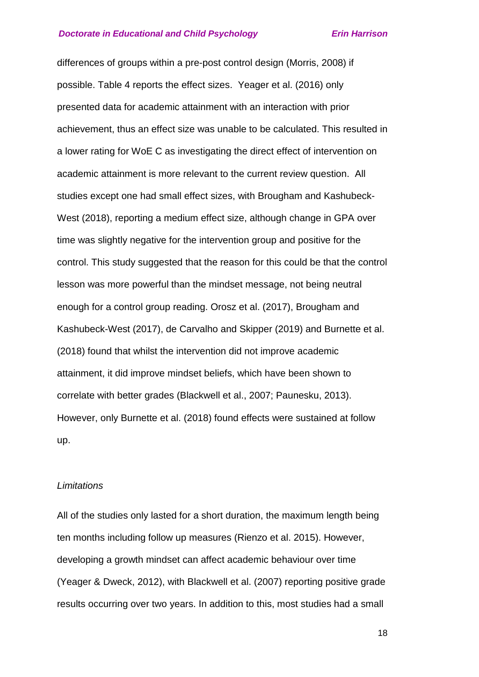differences of groups within a pre-post control design (Morris, 2008) if possible. Table 4 reports the effect sizes. Yeager et al. (2016) only presented data for academic attainment with an interaction with prior achievement, thus an effect size was unable to be calculated. This resulted in a lower rating for WoE C as investigating the direct effect of intervention on academic attainment is more relevant to the current review question. All studies except one had small effect sizes, with Brougham and Kashubeck-West (2018), reporting a medium effect size, although change in GPA over time was slightly negative for the intervention group and positive for the control. This study suggested that the reason for this could be that the control lesson was more powerful than the mindset message, not being neutral enough for a control group reading. Orosz et al. (2017), Brougham and Kashubeck-West (2017), de Carvalho and Skipper (2019) and Burnette et al. (2018) found that whilst the intervention did not improve academic attainment, it did improve mindset beliefs, which have been shown to correlate with better grades (Blackwell et al., 2007; Paunesku, 2013). However, only Burnette et al. (2018) found effects were sustained at follow up.

#### *Limitations*

All of the studies only lasted for a short duration, the maximum length being ten months including follow up measures (Rienzo et al. 2015). However, developing a growth mindset can affect academic behaviour over time (Yeager & Dweck, 2012), with Blackwell et al. (2007) reporting positive grade results occurring over two years. In addition to this, most studies had a small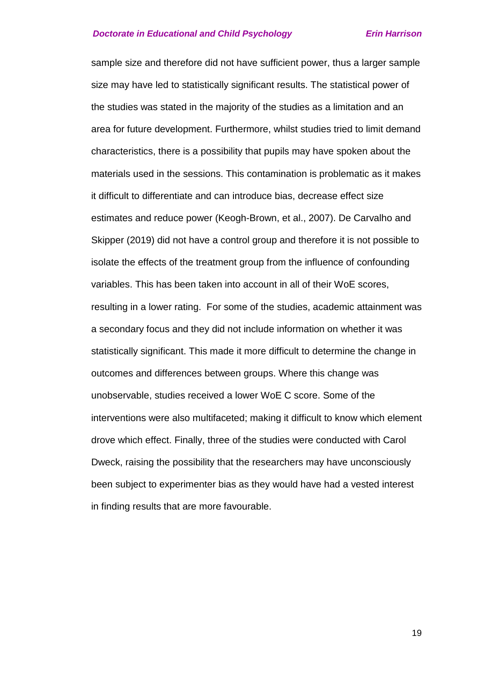sample size and therefore did not have sufficient power, thus a larger sample size may have led to statistically significant results. The statistical power of the studies was stated in the majority of the studies as a limitation and an area for future development. Furthermore, whilst studies tried to limit demand characteristics, there is a possibility that pupils may have spoken about the materials used in the sessions. This contamination is problematic as it makes it difficult to differentiate and can introduce bias, decrease effect size estimates and reduce power (Keogh-Brown, et al., 2007). De Carvalho and Skipper (2019) did not have a control group and therefore it is not possible to isolate the effects of the treatment group from the influence of confounding variables. This has been taken into account in all of their WoE scores, resulting in a lower rating. For some of the studies, academic attainment was a secondary focus and they did not include information on whether it was statistically significant. This made it more difficult to determine the change in outcomes and differences between groups. Where this change was unobservable, studies received a lower WoE C score. Some of the interventions were also multifaceted; making it difficult to know which element drove which effect. Finally, three of the studies were conducted with Carol Dweck, raising the possibility that the researchers may have unconsciously been subject to experimenter bias as they would have had a vested interest in finding results that are more favourable.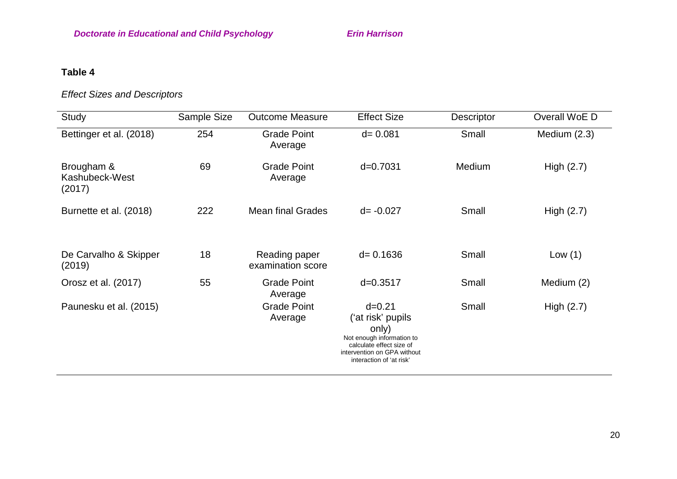# **Table 4**

# *Effect Sizes and Descriptors*

| Study                                  | Sample Size | <b>Outcome Measure</b>             | <b>Effect Size</b>                                                                                                                                           | Descriptor | Overall WoE D  |
|----------------------------------------|-------------|------------------------------------|--------------------------------------------------------------------------------------------------------------------------------------------------------------|------------|----------------|
| Bettinger et al. (2018)                | 254         | <b>Grade Point</b><br>Average      | $d = 0.081$                                                                                                                                                  | Small      | Medium $(2.3)$ |
| Brougham &<br>Kashubeck-West<br>(2017) | 69          |                                    | $d = 0.7031$                                                                                                                                                 | Medium     | High $(2.7)$   |
| Burnette et al. (2018)                 | 222         | <b>Mean final Grades</b>           | $d = -0.027$                                                                                                                                                 | Small      | High $(2.7)$   |
| De Carvalho & Skipper<br>(2019)        | 18          | Reading paper<br>examination score | $d = 0.1636$                                                                                                                                                 | Small      | Low $(1)$      |
| Orosz et al. (2017)                    | 55          | <b>Grade Point</b><br>Average      | $d = 0.3517$                                                                                                                                                 | Small      | Medium (2)     |
| Paunesku et al. (2015)                 |             | <b>Grade Point</b><br>Average      | $d = 0.21$<br>('at risk' pupils<br>only)<br>Not enough information to<br>calculate effect size of<br>intervention on GPA without<br>interaction of 'at risk' | Small      | High $(2.7)$   |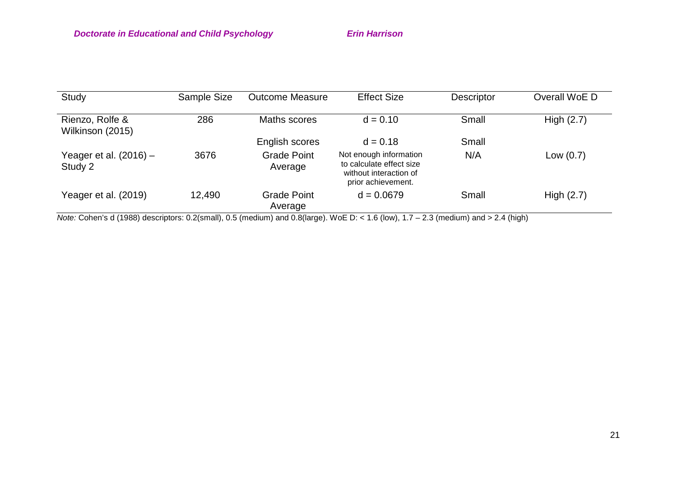| Study                               | Sample Size | <b>Outcome Measure</b> | <b>Effect Size</b>                                                                                 | <b>Descriptor</b> | Overall WoE D |
|-------------------------------------|-------------|------------------------|----------------------------------------------------------------------------------------------------|-------------------|---------------|
| Rienzo, Rolfe &<br>Wilkinson (2015) | 286         | Maths scores           | $d = 0.10$                                                                                         | Small             | High $(2.7)$  |
|                                     |             | English scores         | $d = 0.18$                                                                                         | Small             |               |
| Yeager et al. $(2016)$ –<br>Study 2 | 3676        | Grade Point<br>Average | Not enough information<br>to calculate effect size<br>without interaction of<br>prior achievement. | N/A               | Low $(0.7)$   |
| Yeager et al. (2019)                | 12,490      | Grade Point<br>Average | $d = 0.0679$                                                                                       | Small             | High $(2.7)$  |

*Note:* Cohen's d (1988) descriptors: 0.2(small), 0.5 (medium) and 0.8(large). WoE D: < 1.6 (low), 1.7 – 2.3 (medium) and > 2.4 (high)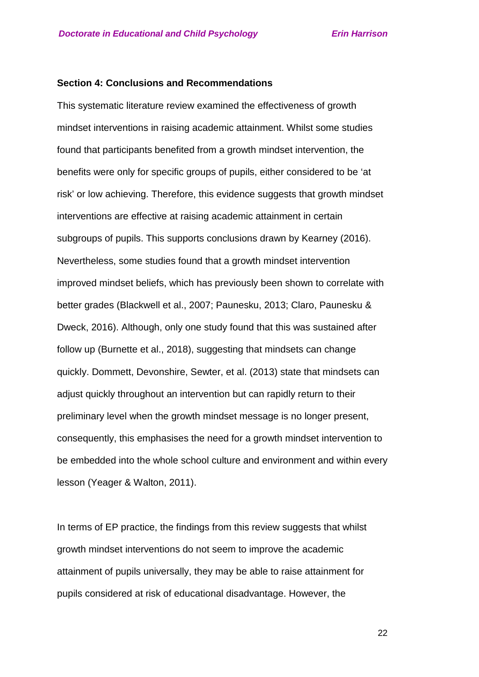#### **Section 4: Conclusions and Recommendations**

This systematic literature review examined the effectiveness of growth mindset interventions in raising academic attainment. Whilst some studies found that participants benefited from a growth mindset intervention, the benefits were only for specific groups of pupils, either considered to be 'at risk' or low achieving. Therefore, this evidence suggests that growth mindset interventions are effective at raising academic attainment in certain subgroups of pupils. This supports conclusions drawn by Kearney (2016). Nevertheless, some studies found that a growth mindset intervention improved mindset beliefs, which has previously been shown to correlate with better grades (Blackwell et al., 2007; Paunesku, 2013; Claro, Paunesku & Dweck, 2016). Although, only one study found that this was sustained after follow up (Burnette et al., 2018), suggesting that mindsets can change quickly. Dommett, Devonshire, Sewter, et al. (2013) state that mindsets can adjust quickly throughout an intervention but can rapidly return to their preliminary level when the growth mindset message is no longer present, consequently, this emphasises the need for a growth mindset intervention to be embedded into the whole school culture and environment and within every lesson (Yeager & Walton, 2011).

In terms of EP practice, the findings from this review suggests that whilst growth mindset interventions do not seem to improve the academic attainment of pupils universally, they may be able to raise attainment for pupils considered at risk of educational disadvantage. However, the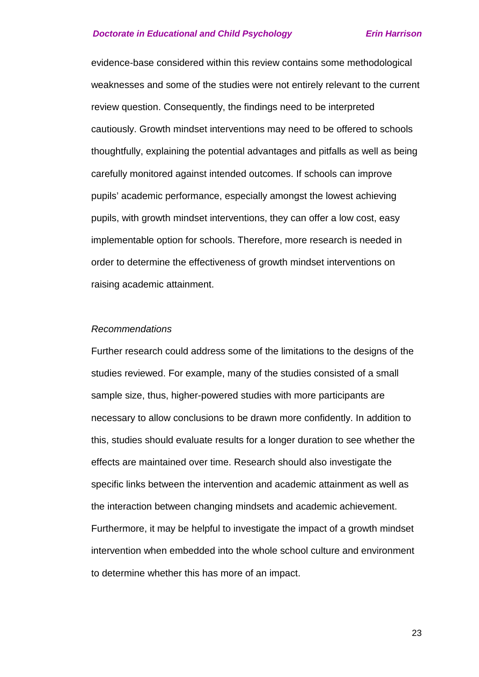evidence-base considered within this review contains some methodological weaknesses and some of the studies were not entirely relevant to the current review question. Consequently, the findings need to be interpreted cautiously. Growth mindset interventions may need to be offered to schools thoughtfully, explaining the potential advantages and pitfalls as well as being carefully monitored against intended outcomes. If schools can improve pupils' academic performance, especially amongst the lowest achieving pupils, with growth mindset interventions, they can offer a low cost, easy implementable option for schools. Therefore, more research is needed in order to determine the effectiveness of growth mindset interventions on raising academic attainment.

#### *Recommendations*

Further research could address some of the limitations to the designs of the studies reviewed. For example, many of the studies consisted of a small sample size, thus, higher-powered studies with more participants are necessary to allow conclusions to be drawn more confidently. In addition to this, studies should evaluate results for a longer duration to see whether the effects are maintained over time. Research should also investigate the specific links between the intervention and academic attainment as well as the interaction between changing mindsets and academic achievement. Furthermore, it may be helpful to investigate the impact of a growth mindset intervention when embedded into the whole school culture and environment to determine whether this has more of an impact.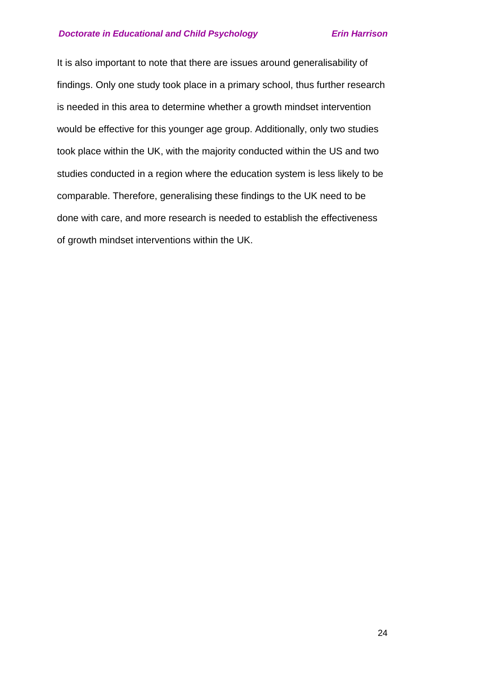It is also important to note that there are issues around generalisability of findings. Only one study took place in a primary school, thus further research is needed in this area to determine whether a growth mindset intervention would be effective for this younger age group. Additionally, only two studies took place within the UK, with the majority conducted within the US and two studies conducted in a region where the education system is less likely to be comparable. Therefore, generalising these findings to the UK need to be done with care, and more research is needed to establish the effectiveness of growth mindset interventions within the UK.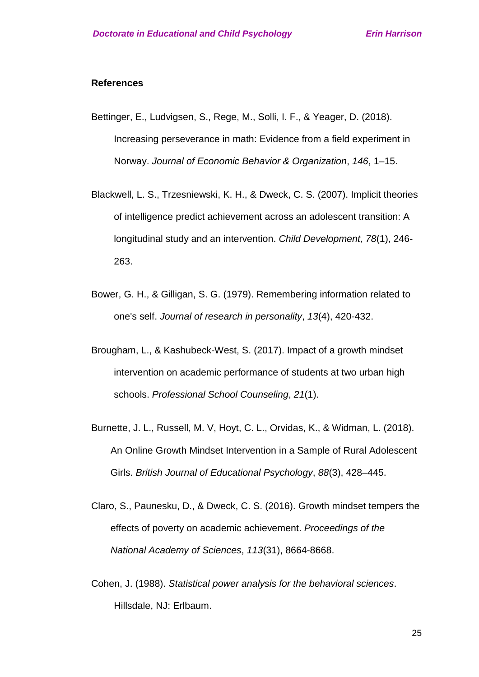#### **References**

- Bettinger, E., Ludvigsen, S., Rege, M., Solli, I. F., & Yeager, D. (2018). Increasing perseverance in math: Evidence from a field experiment in Norway. *Journal of Economic Behavior & Organization*, *146*, 1–15.
- Blackwell, L. S., Trzesniewski, K. H., & Dweck, C. S. (2007). Implicit theories of intelligence predict achievement across an adolescent transition: A longitudinal study and an intervention. *Child Development*, *78*(1), 246- 263.
- Bower, G. H., & Gilligan, S. G. (1979). Remembering information related to one's self. *Journal of research in personality*, *13*(4), 420-432.
- Brougham, L., & Kashubeck-West, S. (2017). Impact of a growth mindset intervention on academic performance of students at two urban high schools. *Professional School Counseling*, *21*(1).
- Burnette, J. L., Russell, M. V, Hoyt, C. L., Orvidas, K., & Widman, L. (2018). An Online Growth Mindset Intervention in a Sample of Rural Adolescent Girls. *British Journal of Educational Psychology*, *88*(3), 428–445.
- Claro, S., Paunesku, D., & Dweck, C. S. (2016). Growth mindset tempers the effects of poverty on academic achievement. *Proceedings of the National Academy of Sciences*, *113*(31), 8664-8668.
- Cohen, J. (1988). *Statistical power analysis for the behavioral sciences*. Hillsdale, NJ: Erlbaum.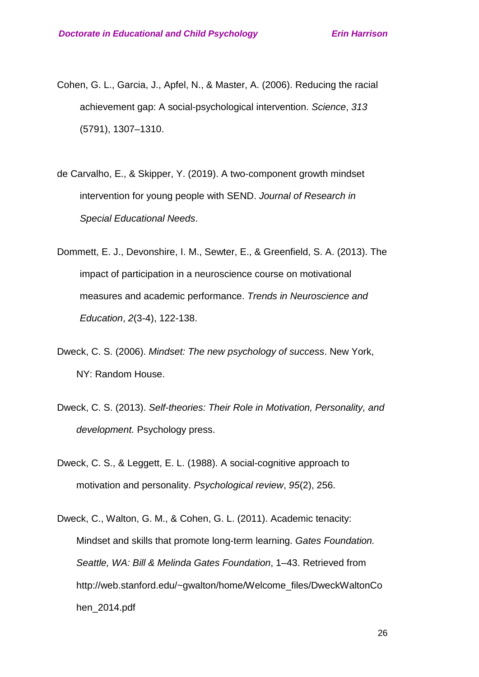- Cohen, G. L., Garcia, J., Apfel, N., & Master, A. (2006). Reducing the racial achievement gap: A social-psychological intervention. *Science*, *313* (5791), 1307–1310.
- de Carvalho, E., & Skipper, Y. (2019). A two‐component growth mindset intervention for young people with SEND. *Journal of Research in Special Educational Needs*.
- Dommett, E. J., Devonshire, I. M., Sewter, E., & Greenfield, S. A. (2013). The impact of participation in a neuroscience course on motivational measures and academic performance. *Trends in Neuroscience and Education*, *2*(3-4), 122-138.
- Dweck, C. S. (2006). *Mindset: The new psychology of success*. New York, NY: Random House.
- Dweck, C. S. (2013). *Self-theories: Their Role in Motivation, Personality, and development.* Psychology press.
- Dweck, C. S., & Leggett, E. L. (1988). A social-cognitive approach to motivation and personality. *Psychological review*, *95*(2), 256.
- Dweck, C., Walton, G. M., & Cohen, G. L. (2011). Academic tenacity: Mindset and skills that promote long-term learning. *Gates Foundation. Seattle, WA: Bill & Melinda Gates Foundation*, 1–43. Retrieved from http://web.stanford.edu/~gwalton/home/Welcome\_files/DweckWaltonCo hen\_2014.pdf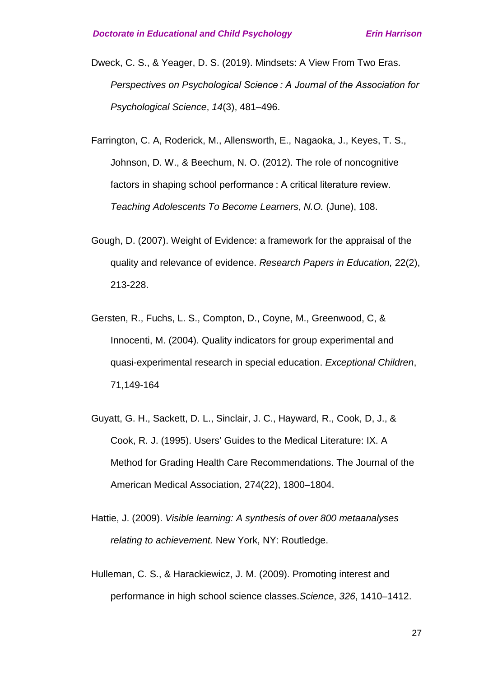- Dweck, C. S., & Yeager, D. S. (2019). Mindsets: A View From Two Eras. *Perspectives on Psychological Science : A Journal of the Association for Psychological Science*, *14*(3), 481–496.
- Farrington, C. A, Roderick, M., Allensworth, E., Nagaoka, J., Keyes, T. S., Johnson, D. W., & Beechum, N. O. (2012). The role of noncognitive factors in shaping school performance : A critical literature review. *Teaching Adolescents To Become Learners*, *N.O.* (June), 108.
- Gough, D. (2007). Weight of Evidence: a framework for the appraisal of the quality and relevance of evidence. *Research Papers in Education,* 22(2), 213-228.
- Gersten, R., Fuchs, L. S., Compton, D., Coyne, M., Greenwood, C, & Innocenti, M. (2004). Quality indicators for group experimental and quasi-experimental research in special education. *Exceptional Children*, 71,149-164
- Guyatt, G. H., Sackett, D. L., Sinclair, J. C., Hayward, R., Cook, D, J., & Cook, R. J. (1995). Users' Guides to the Medical Literature: IX. A Method for Grading Health Care Recommendations. The Journal of the American Medical Association, 274(22), 1800–1804.
- Hattie, J. (2009). *Visible learning: A synthesis of over 800 metaanalyses relating to achievement.* New York, NY: Routledge.
- Hulleman, C. S., & Harackiewicz, J. M. (2009). Promoting interest and performance in high school science classes.*Science*, *326*, 1410–1412.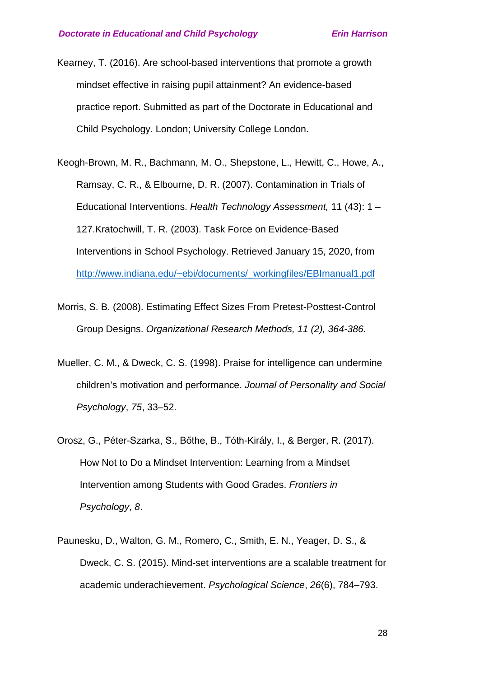Kearney, T. (2016). Are school-based interventions that promote a growth mindset effective in raising pupil attainment? An evidence-based practice report. Submitted as part of the Doctorate in Educational and Child Psychology. London; University College London.

- Keogh-Brown, M. R., Bachmann, M. O., Shepstone, L., Hewitt, C., Howe, A., Ramsay, C. R., & Elbourne, D. R. (2007). Contamination in Trials of Educational Interventions. *Health Technology Assessment,* 11 (43): 1 – 127.Kratochwill, T. R. (2003). Task Force on Evidence-Based Interventions in School Psychology. Retrieved January 15, 2020, from [http://www.indiana.edu/~ebi/documents/\\_workingfiles/EBImanual1.pdf](http://www.indiana.edu/%7Eebi/documents/_workingfiles/EBImanual1.pdf)
- Morris, S. B. (2008). Estimating Effect Sizes From Pretest-Posttest-Control Group Designs. *Organizational Research Methods, 11 (2), 364-386.*
- Mueller, C. M., & Dweck, C. S. (1998). Praise for intelligence can undermine children's motivation and performance. *Journal of Personality and Social Psychology*, *75*, 33–52.
- Orosz, G., Péter-Szarka, S., Bőthe, B., Tóth-Király, I., & Berger, R. (2017). How Not to Do a Mindset Intervention: Learning from a Mindset Intervention among Students with Good Grades. *Frontiers in Psychology*, *8*.
- Paunesku, D., Walton, G. M., Romero, C., Smith, E. N., Yeager, D. S., & Dweck, C. S. (2015). Mind-set interventions are a scalable treatment for academic underachievement. *Psychological Science*, *26*(6), 784–793.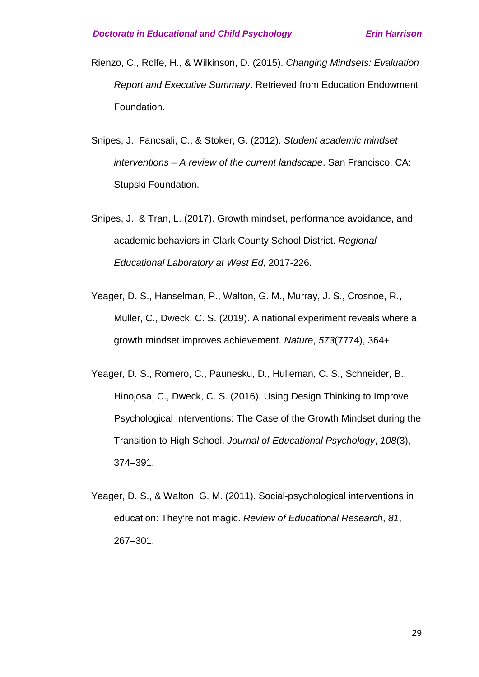- Rienzo, C., Rolfe, H., & Wilkinson, D. (2015). *Changing Mindsets: Evaluation Report and Executive Summary*. Retrieved from Education Endowment Foundation.
- Snipes, J., Fancsali, C., & Stoker, G. (2012). *Student academic mindset interventions – A review of the current landscape*. San Francisco, CA: Stupski Foundation.
- Snipes, J., & Tran, L. (2017). Growth mindset, performance avoidance, and academic behaviors in Clark County School District. *Regional Educational Laboratory at West Ed*, 2017-226.
- Yeager, D. S., Hanselman, P., Walton, G. M., Murray, J. S., Crosnoe, R., Muller, C., Dweck, C. S. (2019). A national experiment reveals where a growth mindset improves achievement. *Nature*, *573*(7774), 364+.
- Yeager, D. S., Romero, C., Paunesku, D., Hulleman, C. S., Schneider, B., Hinojosa, C., Dweck, C. S. (2016). Using Design Thinking to Improve Psychological Interventions: The Case of the Growth Mindset during the Transition to High School. *Journal of Educational Psychology*, *108*(3), 374–391.
- Yeager, D. S., & Walton, G. M. (2011). Social-psychological interventions in education: They're not magic. *Review of Educational Research*, *81*, 267–301.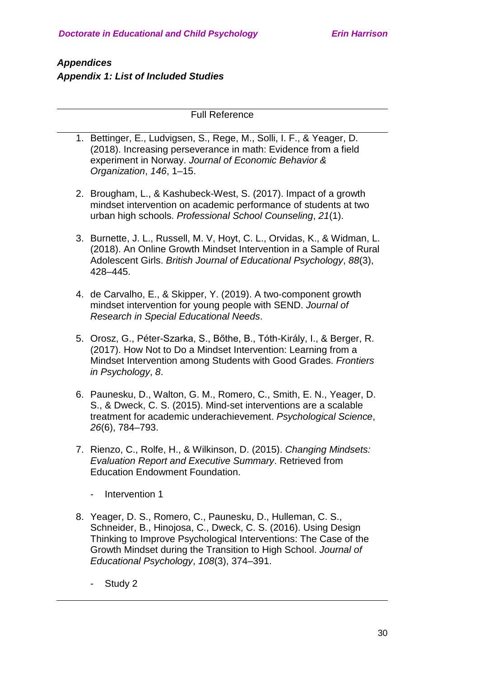# *Appendices Appendix 1: List of Included Studies*

Full Reference

- 1. Bettinger, E., Ludvigsen, S., Rege, M., Solli, I. F., & Yeager, D. (2018). Increasing perseverance in math: Evidence from a field experiment in Norway. *Journal of Economic Behavior & Organization*, *146*, 1–15.
- 2. Brougham, L., & Kashubeck-West, S. (2017). Impact of a growth mindset intervention on academic performance of students at two urban high schools. *Professional School Counseling*, *21*(1).
- 3. Burnette, J. L., Russell, M. V, Hoyt, C. L., Orvidas, K., & Widman, L. (2018). An Online Growth Mindset Intervention in a Sample of Rural Adolescent Girls. *British Journal of Educational Psychology*, *88*(3), 428–445.
- 4. de Carvalho, E., & Skipper, Y. (2019). A two‐component growth mindset intervention for young people with SEND. *Journal of Research in Special Educational Needs*.
- 5. Orosz, G., Péter-Szarka, S., Bőthe, B., Tóth-Király, I., & Berger, R. (2017). How Not to Do a Mindset Intervention: Learning from a Mindset Intervention among Students with Good Grades. *Frontiers in Psychology*, *8*.
- 6. Paunesku, D., Walton, G. M., Romero, C., Smith, E. N., Yeager, D. S., & Dweck, C. S. (2015). Mind-set interventions are a scalable treatment for academic underachievement. *Psychological Science*, *26*(6), 784–793.
- 7. Rienzo, C., Rolfe, H., & Wilkinson, D. (2015). *Changing Mindsets: Evaluation Report and Executive Summary*. Retrieved from Education Endowment Foundation.
	- Intervention 1
- 8. Yeager, D. S., Romero, C., Paunesku, D., Hulleman, C. S., Schneider, B., Hinojosa, C., Dweck, C. S. (2016). Using Design Thinking to Improve Psychological Interventions: The Case of the Growth Mindset during the Transition to High School. *Journal of Educational Psychology*, *108*(3), 374–391.
	- Study 2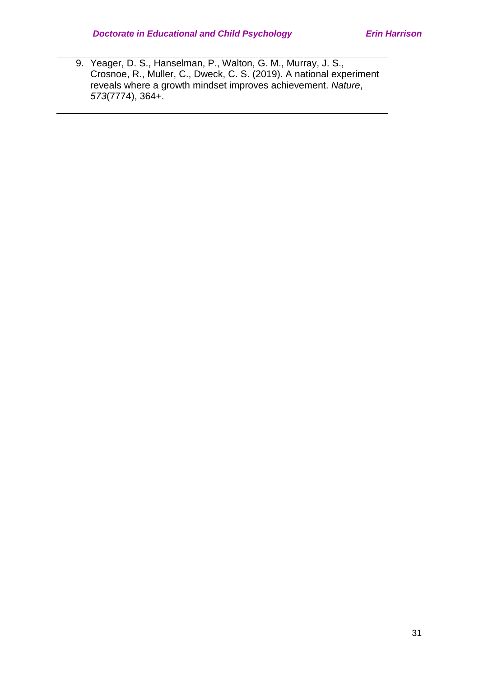9. Yeager, D. S., Hanselman, P., Walton, G. M., Murray, J. S., Crosnoe, R., Muller, C., Dweck, C. S. (2019). A national experiment reveals where a growth mindset improves achievement. *Nature*, *573*(7774), 364+.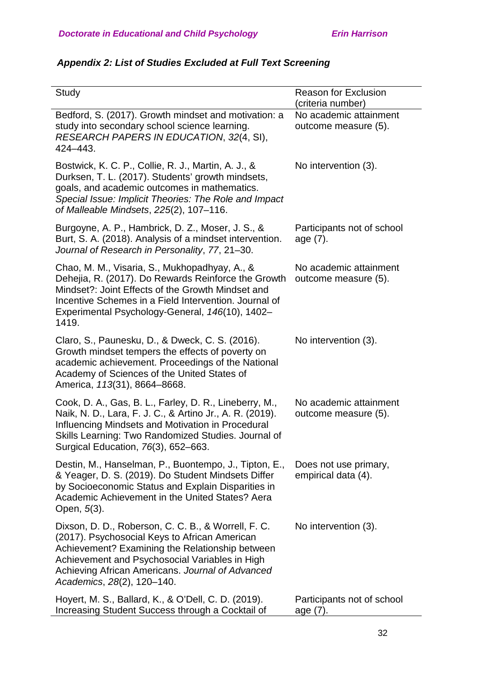| Study                                                                                                                                                                                                                                                                                       | <b>Reason for Exclusion</b><br>(criteria number) |
|---------------------------------------------------------------------------------------------------------------------------------------------------------------------------------------------------------------------------------------------------------------------------------------------|--------------------------------------------------|
| Bedford, S. (2017). Growth mindset and motivation: a<br>study into secondary school science learning.<br>RESEARCH PAPERS IN EDUCATION, 32(4, SI),<br>424-443.                                                                                                                               | No academic attainment<br>outcome measure (5).   |
| Bostwick, K. C. P., Collie, R. J., Martin, A. J., &<br>Durksen, T. L. (2017). Students' growth mindsets,<br>goals, and academic outcomes in mathematics.<br>Special Issue: Implicit Theories: The Role and Impact<br>of Malleable Mindsets, 225(2), 107-116.                                | No intervention (3).                             |
| Burgoyne, A. P., Hambrick, D. Z., Moser, J. S., &<br>Burt, S. A. (2018). Analysis of a mindset intervention.<br>Journal of Research in Personality, 77, 21-30.                                                                                                                              | Participants not of school<br>age (7).           |
| Chao, M. M., Visaria, S., Mukhopadhyay, A., &<br>Dehejia, R. (2017). Do Rewards Reinforce the Growth<br>Mindset?: Joint Effects of the Growth Mindset and<br>Incentive Schemes in a Field Intervention, Journal of<br>Experimental Psychology-General, 146(10), 1402-<br>1419.              | No academic attainment<br>outcome measure (5).   |
| Claro, S., Paunesku, D., & Dweck, C. S. (2016).<br>Growth mindset tempers the effects of poverty on<br>academic achievement. Proceedings of the National<br>Academy of Sciences of the United States of<br>America, 113(31), 8664-8668.                                                     | No intervention (3).                             |
| Cook, D. A., Gas, B. L., Farley, D. R., Lineberry, M.,<br>Naik, N. D., Lara, F. J. C., & Artino Jr., A. R. (2019).<br>Influencing Mindsets and Motivation in Procedural<br>Skills Learning: Two Randomized Studies. Journal of<br>Surgical Education, 76(3), 652-663.                       | No academic attainment<br>outcome measure (5).   |
| Destin, M., Hanselman, P., Buontempo, J., Tipton, E.,<br>& Yeager, D. S. (2019). Do Student Mindsets Differ<br>by Socioeconomic Status and Explain Disparities in<br>Academic Achievement in the United States? Aera<br>Open, 5(3).                                                         | Does not use primary,<br>empirical data (4).     |
| Dixson, D. D., Roberson, C. C. B., & Worrell, F. C.<br>(2017). Psychosocial Keys to African American<br>Achievement? Examining the Relationship between<br>Achievement and Psychosocial Variables in High<br>Achieving African Americans. Journal of Advanced<br>Academics, 28(2), 120-140. | No intervention (3).                             |
| Hoyert, M. S., Ballard, K., & O'Dell, C. D. (2019).<br>Increasing Student Success through a Cocktail of                                                                                                                                                                                     | Participants not of school<br>age (7).           |

# *Appendix 2: List of Studies Excluded at Full Text Screening*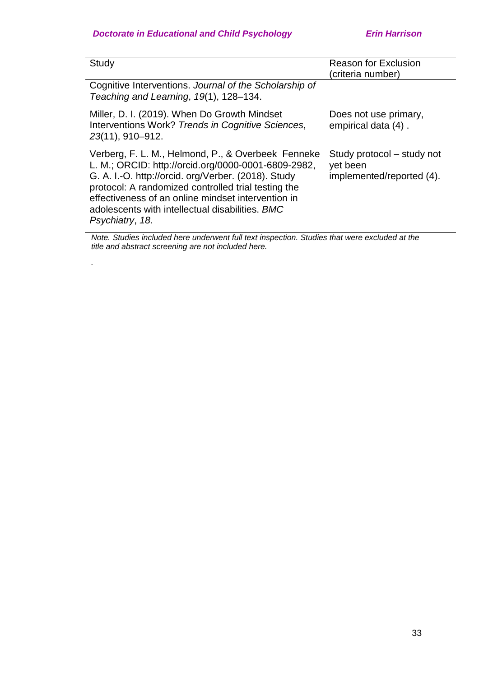*.*

| Study                                                                                                                                                                                                                                                                                                                                               | <b>Reason for Exclusion</b><br>(criteria number)                    |
|-----------------------------------------------------------------------------------------------------------------------------------------------------------------------------------------------------------------------------------------------------------------------------------------------------------------------------------------------------|---------------------------------------------------------------------|
| Cognitive Interventions. Journal of the Scholarship of<br>Teaching and Learning, 19(1), 128–134.                                                                                                                                                                                                                                                    |                                                                     |
| Miller, D. I. (2019). When Do Growth Mindset<br>Interventions Work? Trends in Cognitive Sciences,<br>23(11), 910-912.                                                                                                                                                                                                                               | Does not use primary,<br>empirical data (4).                        |
| Verberg, F. L. M., Helmond, P., & Overbeek Fenneke<br>L. M.; ORCID: http://orcid.org/0000-0001-6809-2982,<br>G. A. I.-O. http://orcid. org/Verber. (2018). Study<br>protocol: A randomized controlled trial testing the<br>effectiveness of an online mindset intervention in<br>adolescents with intellectual disabilities. BMC<br>Psychiatry, 18. | Study protocol – study not<br>yet been<br>implemented/reported (4). |

*Note. Studies included here underwent full text inspection. Studies that were excluded at the title and abstract screening are not included here.*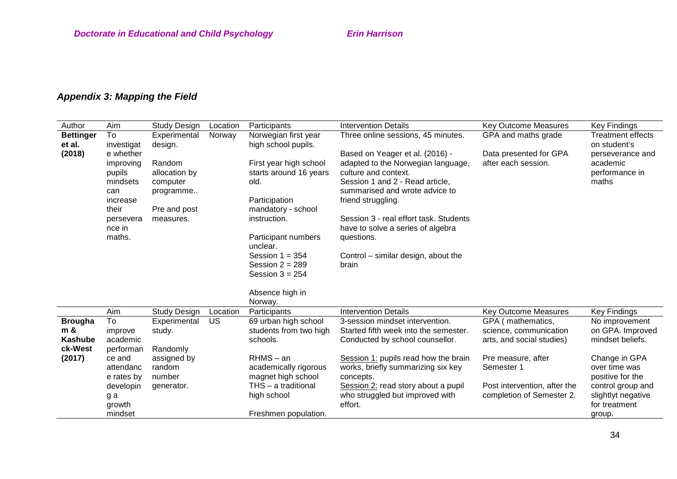# *Appendix 3: Mapping the Field*

| Author           | Aim        | Study Design        | Location  | Participants           | <b>Intervention Details</b>            | <b>Key Outcome Measures</b>  | Key Findings             |
|------------------|------------|---------------------|-----------|------------------------|----------------------------------------|------------------------------|--------------------------|
| <b>Bettinger</b> | To         | Experimental        | Norway    | Norwegian first year   | Three online sessions, 45 minutes.     | GPA and maths grade          | <b>Treatment effects</b> |
| et al.           | investigat | design.             |           | high school pupils.    |                                        |                              | on student's             |
| (2018)           | e whether  |                     |           |                        | Based on Yeager et al. (2016) -        | Data presented for GPA       | perseverance and         |
|                  | improving  | Random              |           | First year high school | adapted to the Norwegian language,     | after each session.          | academic                 |
|                  | pupils     | allocation by       |           | starts around 16 years | culture and context.                   |                              | performance in           |
|                  | mindsets   | computer            |           | old.                   | Session 1 and 2 - Read article,        |                              | maths                    |
|                  | can        | programme           |           |                        | summarised and wrote advice to         |                              |                          |
|                  | increase   |                     |           | Participation          | friend struggling.                     |                              |                          |
|                  | their      | Pre and post        |           | mandatory - school     |                                        |                              |                          |
|                  | persevera  | measures.           |           | instruction.           | Session 3 - real effort task. Students |                              |                          |
|                  | nce in     |                     |           |                        | have to solve a series of algebra      |                              |                          |
|                  | maths.     |                     |           | Participant numbers    | questions.                             |                              |                          |
|                  |            |                     |           | unclear.               |                                        |                              |                          |
|                  |            |                     |           | Session $1 = 354$      | Control – similar design, about the    |                              |                          |
|                  |            |                     |           | Session $2 = 289$      | brain                                  |                              |                          |
|                  |            |                     |           | Session $3 = 254$      |                                        |                              |                          |
|                  |            |                     |           |                        |                                        |                              |                          |
|                  |            |                     |           | Absence high in        |                                        |                              |                          |
|                  |            |                     |           | Norway.                |                                        |                              |                          |
|                  | Aim        | <b>Study Design</b> | Location  | Participants           | <b>Intervention Details</b>            | Key Outcome Measures         | Key Findings             |
| <b>Brougha</b>   | To         | Experimental        | <b>US</b> | 69 urban high school   | 3-session mindset intervention.        | GPA (mathematics,            | No improvement           |
| m &              | improve    | study.              |           | students from two high | Started fifth week into the semester.  | science, communication       | on GPA. Improved         |
| Kashube          | academic   |                     |           | schools.               | Conducted by school counsellor.        | arts, and social studies)    | mindset beliefs.         |
| ck-West          | performan  | Randomly            |           |                        |                                        |                              |                          |
| (2017)           | ce and     | assigned by         |           | $RHMS - an$            | Session 1: pupils read how the brain   | Pre measure, after           | Change in GPA            |
|                  | attendanc  | random              |           | academically rigorous  | works, briefly summarizing six key     | Semester 1                   | over time was            |
|                  | e rates by | number              |           | magnet high school     | concepts.                              |                              | positive for the         |
|                  | developin  | generator.          |           | $THS - a$ traditional  | Session 2: read story about a pupil    | Post intervention, after the | control group and        |
|                  | g a        |                     |           | high school            | who struggled but improved with        | completion of Semester 2.    | slightlyt negative       |
|                  | growth     |                     |           |                        | effort.                                |                              | for treatment            |
|                  | mindset    |                     |           | Freshmen population.   |                                        |                              | group.                   |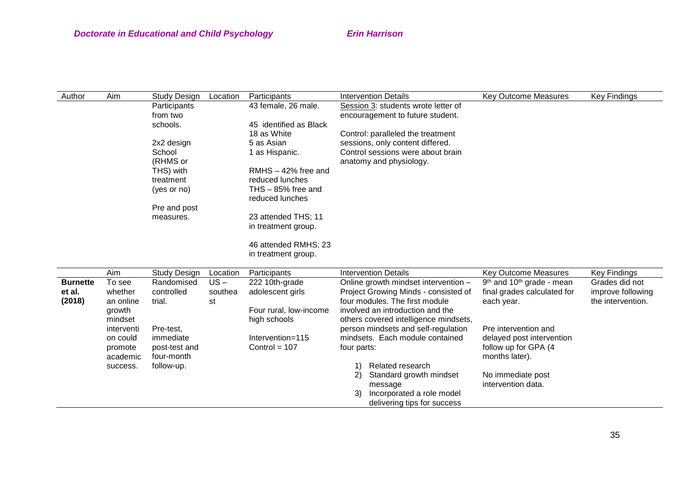| Author | Aim | Participants<br>Study Design<br>Location |  |                        | <b>Intervention Details</b>         | <b>Key Outcome Measures</b> | <b>Key Findings</b> |
|--------|-----|------------------------------------------|--|------------------------|-------------------------------------|-----------------------------|---------------------|
|        |     | Participants                             |  | 43 female, 26 male.    | Session 3: students wrote letter of |                             |                     |
|        |     | from two                                 |  |                        | encouragement to future student.    |                             |                     |
|        |     | schools.                                 |  | 45 identified as Black |                                     |                             |                     |
|        |     |                                          |  | 18 as White            | Control: paralleled the treatment   |                             |                     |
|        |     | 2x2 design                               |  | 5 as Asian             | sessions, only content differed.    |                             |                     |
|        |     | School                                   |  | 1 as Hispanic.         | Control sessions were about brain   |                             |                     |
|        |     | (RHMS or                                 |  |                        | anatomy and physiology.             |                             |                     |
|        |     | THS) with                                |  | $RMHS - 42%$ free and  |                                     |                             |                     |
|        |     | treatment                                |  | reduced lunches        |                                     |                             |                     |
|        |     | (yes or no)                              |  | THS $-85%$ free and    |                                     |                             |                     |
|        |     |                                          |  | reduced lunches        |                                     |                             |                     |
|        |     | Pre and post                             |  |                        |                                     |                             |                     |
|        |     | measures.                                |  | 23 attended THS; 11    |                                     |                             |                     |
|        |     |                                          |  | in treatment group.    |                                     |                             |                     |
|        |     |                                          |  | 46 attended RMHS; 23   |                                     |                             |                     |
|        |     |                                          |  | in treatment group.    |                                     |                             |                     |
|        |     |                                          |  |                        |                                     |                             |                     |

|                 | Aim        | Study Design  | Location | <b>Participants</b>    | Intervention Details                 |                                       | Key Outcome Measures                    | Key Findings      |
|-----------------|------------|---------------|----------|------------------------|--------------------------------------|---------------------------------------|-----------------------------------------|-------------------|
| <b>Burnette</b> | To see     | Randomised    | US –     | 222 10th-grade         | Online growth mindset intervention - |                                       | $9th$ and 10 <sup>th</sup> grade - mean | Grades did not    |
| et al.          | whether    | controlled    | southea  | adolescent girls       |                                      | Project Growing Minds - consisted of  | final grades calculated for             | improve following |
| (2018)          | an online  | trial.        | st       |                        |                                      | four modules. The first module        | each year.                              | the intervention. |
|                 | growth     |               |          | Four rural, low-income |                                      | involved an introduction and the      |                                         |                   |
|                 | mindset    |               |          | high schools           |                                      | others covered intelligence mindsets, |                                         |                   |
|                 | interventi | Pre-test.     |          |                        | person mindsets and self-regulation  |                                       | Pre intervention and                    |                   |
|                 | on could   | immediate     |          | Intervention=115       |                                      | mindsets. Each module contained       | delayed post intervention               |                   |
|                 | promote    | post-test and |          | Control = $107$        | four parts:                          |                                       | follow up for GPA (4)                   |                   |
|                 | academic   | four-month    |          |                        |                                      |                                       | months later).                          |                   |
|                 | success.   | follow-up.    |          |                        |                                      | Related research                      |                                         |                   |
|                 |            |               |          |                        | 2)                                   | Standard growth mindset               | No immediate post                       |                   |
|                 |            |               |          |                        |                                      | message                               | intervention data.                      |                   |
|                 |            |               |          |                        | 3).                                  | Incorporated a role model             |                                         |                   |
|                 |            |               |          |                        |                                      | delivering tips for success           |                                         |                   |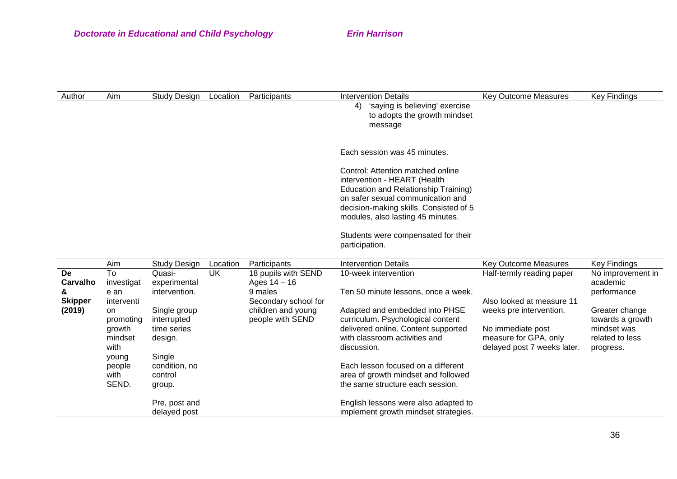| Author                                          | Aim                                                                                                                               | Study Design                                                                                                                                     | Location | Participants                                                                                                       |                | Intervention Details                                                                                                                                                                                                                                                                                                        | Key Outcome Measures                                                                                                                                           | Key Findings                                                                                                                      |
|-------------------------------------------------|-----------------------------------------------------------------------------------------------------------------------------------|--------------------------------------------------------------------------------------------------------------------------------------------------|----------|--------------------------------------------------------------------------------------------------------------------|----------------|-----------------------------------------------------------------------------------------------------------------------------------------------------------------------------------------------------------------------------------------------------------------------------------------------------------------------------|----------------------------------------------------------------------------------------------------------------------------------------------------------------|-----------------------------------------------------------------------------------------------------------------------------------|
|                                                 |                                                                                                                                   |                                                                                                                                                  |          |                                                                                                                    | 4)             | 'saying is believing' exercise<br>to adopts the growth mindset<br>message                                                                                                                                                                                                                                                   |                                                                                                                                                                |                                                                                                                                   |
|                                                 |                                                                                                                                   |                                                                                                                                                  |          |                                                                                                                    |                | Each session was 45 minutes.                                                                                                                                                                                                                                                                                                |                                                                                                                                                                |                                                                                                                                   |
|                                                 |                                                                                                                                   |                                                                                                                                                  |          |                                                                                                                    | participation. | Control: Attention matched online<br>intervention - HEART (Health<br>Education and Relationship Training)<br>on safer sexual communication and<br>decision-making skills. Consisted of 5<br>modules, also lasting 45 minutes.<br>Students were compensated for their                                                        |                                                                                                                                                                |                                                                                                                                   |
|                                                 |                                                                                                                                   |                                                                                                                                                  |          |                                                                                                                    |                |                                                                                                                                                                                                                                                                                                                             |                                                                                                                                                                |                                                                                                                                   |
|                                                 | Aim                                                                                                                               | Study Design                                                                                                                                     | Location | Participants                                                                                                       |                | <b>Intervention Details</b>                                                                                                                                                                                                                                                                                                 | <b>Key Outcome Measures</b>                                                                                                                                    | <b>Key Findings</b>                                                                                                               |
| De<br>Carvalho<br>&<br><b>Skipper</b><br>(2019) | To<br>investigat<br>e an<br>interventi<br><b>on</b><br>promoting<br>growth<br>mindset<br>with<br>young<br>people<br>with<br>SEND. | Quasi-<br>experimental<br>intervention.<br>Single group<br>interrupted<br>time series<br>design.<br>Single<br>condition, no<br>control<br>group. | UK.      | 18 pupils with SEND<br>Ages $14 - 16$<br>9 males<br>Secondary school for<br>children and young<br>people with SEND | discussion.    | 10-week intervention<br>Ten 50 minute lessons, once a week.<br>Adapted and embedded into PHSE<br>curriculum. Psychological content<br>delivered online. Content supported<br>with classroom activities and<br>Each lesson focused on a different<br>area of growth mindset and followed<br>the same structure each session. | Half-termly reading paper<br>Also looked at measure 11<br>weeks pre intervention.<br>No immediate post<br>measure for GPA, only<br>delayed post 7 weeks later. | No improvement in<br>academic<br>performance<br>Greater change<br>towards a growth<br>mindset was<br>related to less<br>progress. |
|                                                 |                                                                                                                                   | Pre, post and<br>delayed post                                                                                                                    |          |                                                                                                                    |                | English lessons were also adapted to<br>implement growth mindset strategies.                                                                                                                                                                                                                                                |                                                                                                                                                                |                                                                                                                                   |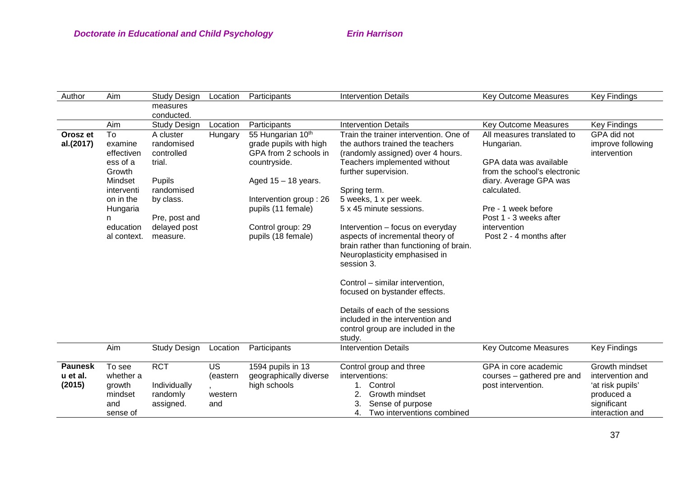| Author         | Aim                                                                                           | <b>Study Design</b>                                                                             | Location                   | Participants                                                                                                                                           | <b>Intervention Details</b>                                                                                                                                                                                                                                                                                                                                                                                                                                                                            | <b>Key Outcome Measures</b>                                                                                                                  | <b>Key Findings</b>                                              |
|----------------|-----------------------------------------------------------------------------------------------|-------------------------------------------------------------------------------------------------|----------------------------|--------------------------------------------------------------------------------------------------------------------------------------------------------|--------------------------------------------------------------------------------------------------------------------------------------------------------------------------------------------------------------------------------------------------------------------------------------------------------------------------------------------------------------------------------------------------------------------------------------------------------------------------------------------------------|----------------------------------------------------------------------------------------------------------------------------------------------|------------------------------------------------------------------|
|                |                                                                                               | measures                                                                                        |                            |                                                                                                                                                        |                                                                                                                                                                                                                                                                                                                                                                                                                                                                                                        |                                                                                                                                              |                                                                  |
|                |                                                                                               | conducted.                                                                                      |                            |                                                                                                                                                        |                                                                                                                                                                                                                                                                                                                                                                                                                                                                                                        |                                                                                                                                              |                                                                  |
|                | Aim                                                                                           | <b>Study Design</b>                                                                             | Location                   | Participants                                                                                                                                           | <b>Intervention Details</b>                                                                                                                                                                                                                                                                                                                                                                                                                                                                            | Key Outcome Measures                                                                                                                         | Key Findings                                                     |
| Orosz et       | To                                                                                            | A cluster                                                                                       | Hungary                    | 55 Hungarian 10th                                                                                                                                      | Train the trainer intervention. One of                                                                                                                                                                                                                                                                                                                                                                                                                                                                 | All measures translated to                                                                                                                   | GPA did not                                                      |
| al.(2017)      | examine                                                                                       | randomised                                                                                      |                            | grade pupils with high                                                                                                                                 | the authors trained the teachers                                                                                                                                                                                                                                                                                                                                                                                                                                                                       | Hungarian.                                                                                                                                   | improve following                                                |
|                | effectiven                                                                                    | controlled                                                                                      |                            | GPA from 2 schools in                                                                                                                                  | (randomly assigned) over 4 hours.                                                                                                                                                                                                                                                                                                                                                                                                                                                                      |                                                                                                                                              | intervention                                                     |
|                | ess of a                                                                                      | trial.                                                                                          |                            | countryside.                                                                                                                                           | Teachers implemented without                                                                                                                                                                                                                                                                                                                                                                                                                                                                           | GPA data was available                                                                                                                       |                                                                  |
|                | Growth                                                                                        |                                                                                                 |                            |                                                                                                                                                        | further supervision.                                                                                                                                                                                                                                                                                                                                                                                                                                                                                   | from the school's electronic                                                                                                                 |                                                                  |
|                | Mindset                                                                                       | Pupils                                                                                          |                            | Aged $15 - 18$ years.                                                                                                                                  |                                                                                                                                                                                                                                                                                                                                                                                                                                                                                                        | diary. Average GPA was                                                                                                                       |                                                                  |
|                | interventi                                                                                    | randomised                                                                                      |                            |                                                                                                                                                        | Spring term.                                                                                                                                                                                                                                                                                                                                                                                                                                                                                           | calculated.                                                                                                                                  |                                                                  |
|                | on in the                                                                                     |                                                                                                 |                            |                                                                                                                                                        |                                                                                                                                                                                                                                                                                                                                                                                                                                                                                                        |                                                                                                                                              |                                                                  |
|                |                                                                                               |                                                                                                 |                            |                                                                                                                                                        |                                                                                                                                                                                                                                                                                                                                                                                                                                                                                                        |                                                                                                                                              |                                                                  |
|                | n                                                                                             |                                                                                                 |                            |                                                                                                                                                        |                                                                                                                                                                                                                                                                                                                                                                                                                                                                                                        |                                                                                                                                              |                                                                  |
|                |                                                                                               |                                                                                                 |                            |                                                                                                                                                        |                                                                                                                                                                                                                                                                                                                                                                                                                                                                                                        |                                                                                                                                              |                                                                  |
|                |                                                                                               |                                                                                                 |                            |                                                                                                                                                        |                                                                                                                                                                                                                                                                                                                                                                                                                                                                                                        |                                                                                                                                              |                                                                  |
|                |                                                                                               |                                                                                                 |                            |                                                                                                                                                        |                                                                                                                                                                                                                                                                                                                                                                                                                                                                                                        |                                                                                                                                              |                                                                  |
|                |                                                                                               |                                                                                                 |                            |                                                                                                                                                        |                                                                                                                                                                                                                                                                                                                                                                                                                                                                                                        |                                                                                                                                              |                                                                  |
|                |                                                                                               |                                                                                                 |                            |                                                                                                                                                        |                                                                                                                                                                                                                                                                                                                                                                                                                                                                                                        |                                                                                                                                              |                                                                  |
|                |                                                                                               |                                                                                                 |                            |                                                                                                                                                        |                                                                                                                                                                                                                                                                                                                                                                                                                                                                                                        |                                                                                                                                              |                                                                  |
|                |                                                                                               |                                                                                                 |                            |                                                                                                                                                        |                                                                                                                                                                                                                                                                                                                                                                                                                                                                                                        |                                                                                                                                              |                                                                  |
|                |                                                                                               |                                                                                                 |                            |                                                                                                                                                        |                                                                                                                                                                                                                                                                                                                                                                                                                                                                                                        |                                                                                                                                              |                                                                  |
|                |                                                                                               |                                                                                                 |                            |                                                                                                                                                        |                                                                                                                                                                                                                                                                                                                                                                                                                                                                                                        |                                                                                                                                              |                                                                  |
|                |                                                                                               |                                                                                                 |                            |                                                                                                                                                        | Details of each of the sessions                                                                                                                                                                                                                                                                                                                                                                                                                                                                        |                                                                                                                                              |                                                                  |
|                |                                                                                               |                                                                                                 |                            |                                                                                                                                                        |                                                                                                                                                                                                                                                                                                                                                                                                                                                                                                        |                                                                                                                                              |                                                                  |
|                |                                                                                               |                                                                                                 |                            |                                                                                                                                                        |                                                                                                                                                                                                                                                                                                                                                                                                                                                                                                        |                                                                                                                                              |                                                                  |
|                |                                                                                               |                                                                                                 |                            |                                                                                                                                                        |                                                                                                                                                                                                                                                                                                                                                                                                                                                                                                        |                                                                                                                                              |                                                                  |
|                |                                                                                               | <b>Study Design</b>                                                                             | Location                   | Participants                                                                                                                                           | <b>Intervention Details</b>                                                                                                                                                                                                                                                                                                                                                                                                                                                                            | <b>Key Outcome Measures</b>                                                                                                                  | <b>Key Findings</b>                                              |
| <b>Paunesk</b> |                                                                                               | <b>RCT</b>                                                                                      | <b>US</b>                  |                                                                                                                                                        |                                                                                                                                                                                                                                                                                                                                                                                                                                                                                                        | GPA in core academic                                                                                                                         | Growth mindset                                                   |
| u et al.       | whether a                                                                                     |                                                                                                 |                            |                                                                                                                                                        | interventions:                                                                                                                                                                                                                                                                                                                                                                                                                                                                                         |                                                                                                                                              | intervention and                                                 |
|                |                                                                                               |                                                                                                 |                            |                                                                                                                                                        | $1_{-}$                                                                                                                                                                                                                                                                                                                                                                                                                                                                                                |                                                                                                                                              |                                                                  |
|                |                                                                                               |                                                                                                 |                            |                                                                                                                                                        |                                                                                                                                                                                                                                                                                                                                                                                                                                                                                                        |                                                                                                                                              |                                                                  |
|                |                                                                                               |                                                                                                 |                            |                                                                                                                                                        |                                                                                                                                                                                                                                                                                                                                                                                                                                                                                                        |                                                                                                                                              |                                                                  |
|                |                                                                                               |                                                                                                 |                            |                                                                                                                                                        |                                                                                                                                                                                                                                                                                                                                                                                                                                                                                                        |                                                                                                                                              |                                                                  |
| (2015)         | Hungaria<br>education<br>al context.<br>Aim<br>To see<br>growth<br>mindset<br>and<br>sense of | by class.<br>Pre, post and<br>delayed post<br>measure.<br>Individually<br>randomly<br>assigned. | (eastern<br>western<br>and | Intervention group: 26<br>pupils (11 female)<br>Control group: 29<br>pupils (18 female)<br>1594 pupils in 13<br>geographically diverse<br>high schools | 5 weeks, 1 x per week.<br>5 x 45 minute sessions.<br>Intervention - focus on everyday<br>aspects of incremental theory of<br>brain rather than functioning of brain.<br>Neuroplasticity emphasised in<br>session 3.<br>Control - similar intervention,<br>focused on bystander effects.<br>included in the intervention and<br>control group are included in the<br>study.<br>Control group and three<br>Control<br>Growth mindset<br>2.<br>Sense of purpose<br>3.<br>Two interventions combined<br>4. | Pre - 1 week before<br>Post 1 - 3 weeks after<br>intervention<br>Post 2 - 4 months after<br>courses - gathered pre and<br>post intervention. | 'at risk pupils'<br>produced a<br>significant<br>interaction and |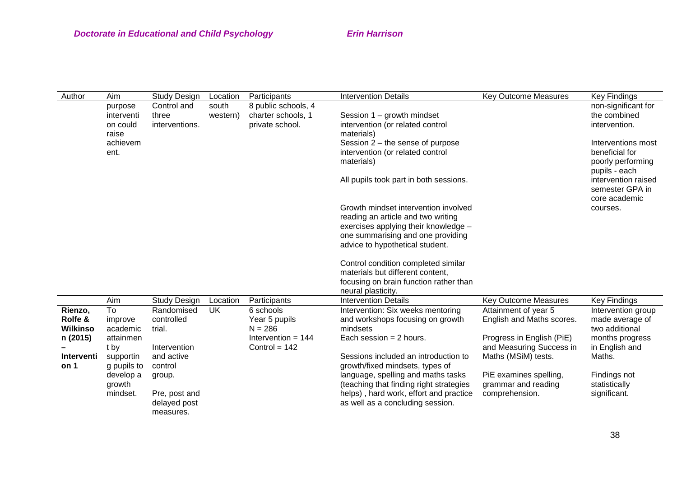| Author                                            | Aim                                            | Study Design                                       | Location          | Participants                                                                       | <b>Intervention Details</b>                                                                                                                                                                | <b>Key Outcome Measures</b>                                                                                | <b>Key Findings</b>                                                                          |
|---------------------------------------------------|------------------------------------------------|----------------------------------------------------|-------------------|------------------------------------------------------------------------------------|--------------------------------------------------------------------------------------------------------------------------------------------------------------------------------------------|------------------------------------------------------------------------------------------------------------|----------------------------------------------------------------------------------------------|
|                                                   | purpose<br>interventi<br>on could<br>raise     | Control and<br>three<br>interventions.             | south<br>western) | 8 public schools, 4<br>charter schools, 1<br>private school.                       | Session 1 - growth mindset<br>intervention (or related control<br>materials)                                                                                                               |                                                                                                            | non-significant for<br>the combined<br>intervention.                                         |
|                                                   | achievem<br>ent.                               |                                                    |                   |                                                                                    | Session $2$ – the sense of purpose<br>intervention (or related control<br>materials)                                                                                                       |                                                                                                            | Interventions most<br>beneficial for<br>poorly performing<br>pupils - each                   |
|                                                   |                                                |                                                    |                   |                                                                                    | All pupils took part in both sessions.                                                                                                                                                     |                                                                                                            | intervention raised<br>semester GPA in<br>core academic                                      |
|                                                   |                                                |                                                    |                   |                                                                                    | Growth mindset intervention involved<br>reading an article and two writing<br>exercises applying their knowledge -<br>one summarising and one providing<br>advice to hypothetical student. |                                                                                                            | courses.                                                                                     |
|                                                   |                                                |                                                    |                   |                                                                                    | Control condition completed similar<br>materials but different content,<br>focusing on brain function rather than<br>neural plasticity.                                                    |                                                                                                            |                                                                                              |
|                                                   | Aim                                            | <b>Study Design</b>                                | Location          | Participants                                                                       | <b>Intervention Details</b>                                                                                                                                                                | <b>Key Outcome Measures</b>                                                                                | <b>Key Findings</b>                                                                          |
| Rienzo,<br>Rolfe &<br><b>Wilkinso</b><br>n (2015) | To<br>improve<br>academic<br>attainmen<br>t by | Randomised<br>controlled<br>trial.<br>Intervention | <b>UK</b>         | 6 schools<br>Year 5 pupils<br>$N = 286$<br>Intervention = $144$<br>Control = $142$ | Intervention: Six weeks mentoring<br>and workshops focusing on growth<br>mindsets<br>Each session $= 2$ hours.                                                                             | Attainment of year 5<br>English and Maths scores.<br>Progress in English (PiE)<br>and Measuring Success in | Intervention group<br>made average of<br>two additional<br>months progress<br>in English and |
| Interventi<br>on 1                                | supportin<br>g pupils to                       | and active<br>control                              |                   |                                                                                    | Sessions included an introduction to<br>growth/fixed mindsets, types of                                                                                                                    | Maths (MSiM) tests.                                                                                        | Maths.                                                                                       |
|                                                   | develop a<br>growth<br>mindset.                | group.<br>Pre, post and                            |                   |                                                                                    | language, spelling and maths tasks<br>(teaching that finding right strategies<br>helps), hard work, effort and practice                                                                    | PiE examines spelling,<br>grammar and reading<br>comprehension.                                            | Findings not<br>statistically<br>significant.                                                |
|                                                   |                                                | delayed post<br>measures.                          |                   |                                                                                    | as well as a concluding session.                                                                                                                                                           |                                                                                                            |                                                                                              |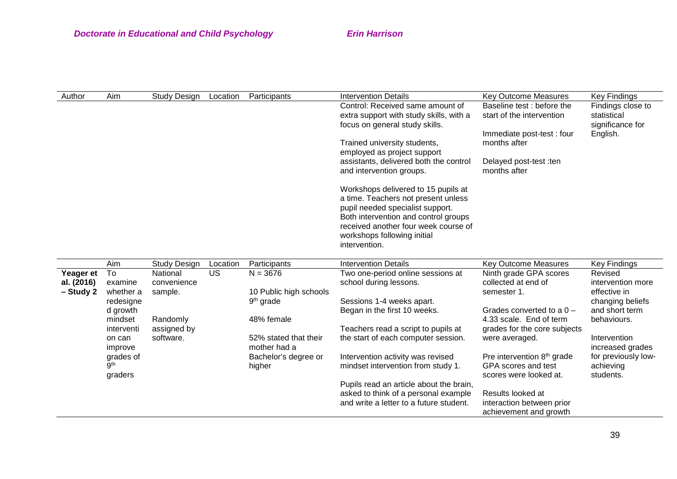| Author | Aim | Study Desian | Location | Participants | <b>Intervention Details</b>             | <b>Key Outcome Measures</b> | <b>Key Findings</b> |
|--------|-----|--------------|----------|--------------|-----------------------------------------|-----------------------------|---------------------|
|        |     |              |          |              | Control: Received same amount of        | Baseline test: before the   | Findings close to   |
|        |     |              |          |              | extra support with study skills, with a | start of the intervention   | statistical         |
|        |     |              |          |              | focus on general study skills.          |                             | significance for    |
|        |     |              |          |              |                                         | Immediate post-test: four   | English.            |
|        |     |              |          |              | Trained university students,            | months after                |                     |
|        |     |              |          |              | employed as project support             |                             |                     |
|        |     |              |          |              | assistants, delivered both the control  | Delayed post-test :ten      |                     |
|        |     |              |          |              | and intervention groups.                | months after                |                     |
|        |     |              |          |              | Workshops delivered to 15 pupils at     |                             |                     |
|        |     |              |          |              | a time. Teachers not present unless     |                             |                     |
|        |     |              |          |              | pupil needed specialist support.        |                             |                     |
|        |     |              |          |              | Both intervention and control groups    |                             |                     |
|        |     |              |          |              | received another four week course of    |                             |                     |
|        |     |              |          |              | workshops following initial             |                             |                     |
|        |     |              |          |              | intervention.                           |                             |                     |

|            | Aim        | <b>Study Design</b> | Location | Participants           | <b>Intervention Details</b>             | <b>Key Outcome Measures</b>            | <b>Key Findings</b> |
|------------|------------|---------------------|----------|------------------------|-----------------------------------------|----------------------------------------|---------------------|
| Yeager et  | To         | National            | US       | $N = 3676$             | Two one-period online sessions at       | Ninth grade GPA scores                 | Revised             |
| al. (2016) | examine    | convenience         |          |                        | school during lessons.                  | collected at end of                    | intervention more   |
| - Study 2  | whether a  | sample.             |          | 10 Public high schools |                                         | semester 1.                            | effective in        |
|            | redesigne  |                     |          | 9 <sup>th</sup> grade  | Sessions 1-4 weeks apart.               |                                        | changing beliefs    |
|            | d growth   |                     |          |                        | Began in the first 10 weeks.            | Grades converted to a $0 -$            | and short term      |
|            | mindset    | Randomly            |          | 48% female             |                                         | 4.33 scale. End of term                | behaviours.         |
|            | interventi | assigned by         |          |                        | Teachers read a script to pupils at     | grades for the core subjects           |                     |
|            | on can     | software.           |          | 52% stated that their  | the start of each computer session.     | were averaged.                         | Intervention        |
|            | improve    |                     |          | mother had a           |                                         |                                        | increased grades    |
|            | grades of  |                     |          | Bachelor's degree or   | Intervention activity was revised       | Pre intervention 8 <sup>th</sup> grade | for previously low- |
|            | .gth       |                     |          | higher                 | mindset intervention from study 1.      | GPA scores and test                    | achieving           |
|            | graders    |                     |          |                        |                                         | scores were looked at.                 | students.           |
|            |            |                     |          |                        | Pupils read an article about the brain, |                                        |                     |
|            |            |                     |          |                        | asked to think of a personal example    | Results looked at                      |                     |
|            |            |                     |          |                        | and write a letter to a future student. | interaction between prior              |                     |
|            |            |                     |          |                        |                                         | achievement and growth                 |                     |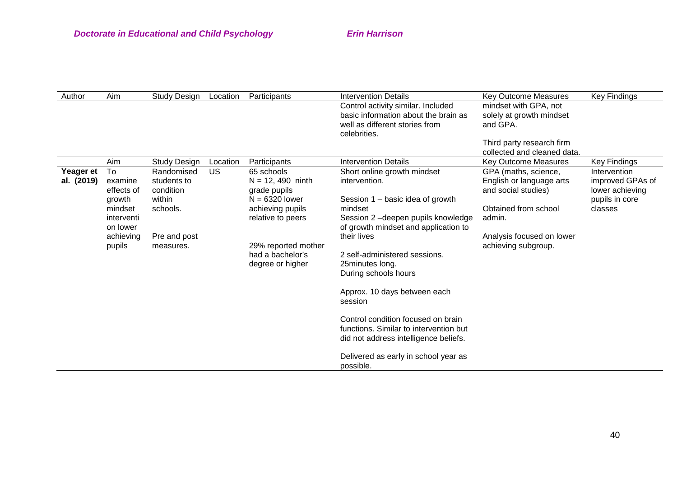| Author           | Aim        | <b>Study Design</b> | Location | Participants        | <b>Intervention Details</b>            | <b>Key Outcome Measures</b> | Key Findings     |
|------------------|------------|---------------------|----------|---------------------|----------------------------------------|-----------------------------|------------------|
|                  |            |                     |          |                     | Control activity similar. Included     | mindset with GPA, not       |                  |
|                  |            |                     |          |                     | basic information about the brain as   | solely at growth mindset    |                  |
|                  |            |                     |          |                     | well as different stories from         | and GPA.                    |                  |
|                  |            |                     |          |                     | celebrities.                           |                             |                  |
|                  |            |                     |          |                     |                                        | Third party research firm   |                  |
|                  |            |                     |          |                     |                                        | collected and cleaned data. |                  |
|                  | Aim        | <b>Study Design</b> | Location | Participants        | <b>Intervention Details</b>            | <b>Key Outcome Measures</b> | Key Findings     |
| <b>Yeager et</b> | To         | Randomised          | US       | 65 schools          | Short online growth mindset            | GPA (maths, science,        | Intervention     |
| al. (2019)       | examine    | students to         |          | $N = 12, 490$ ninth | intervention.                          | English or language arts    | improved GPAs of |
|                  | effects of | condition           |          | grade pupils        |                                        | and social studies)         | lower achieving  |
|                  | growth     | within              |          | $N = 6320$ lower    | Session $1 -$ basic idea of growth     |                             | pupils in core   |
|                  | mindset    | schools.            |          | achieving pupils    | mindset                                | Obtained from school        | classes          |
|                  | interventi |                     |          | relative to peers   | Session 2-deepen pupils knowledge      | admin.                      |                  |
|                  | on lower   |                     |          |                     | of growth mindset and application to   |                             |                  |
|                  | achieving  | Pre and post        |          |                     | their lives                            | Analysis focused on lower   |                  |
|                  | pupils     | measures.           |          | 29% reported mother |                                        | achieving subgroup.         |                  |
|                  |            |                     |          | had a bachelor's    | 2 self-administered sessions.          |                             |                  |
|                  |            |                     |          | degree or higher    | 25minutes long.                        |                             |                  |
|                  |            |                     |          |                     | During schools hours                   |                             |                  |
|                  |            |                     |          |                     | Approx. 10 days between each           |                             |                  |
|                  |            |                     |          |                     | session                                |                             |                  |
|                  |            |                     |          |                     |                                        |                             |                  |
|                  |            |                     |          |                     | Control condition focused on brain     |                             |                  |
|                  |            |                     |          |                     | functions. Similar to intervention but |                             |                  |
|                  |            |                     |          |                     | did not address intelligence beliefs.  |                             |                  |
|                  |            |                     |          |                     | Delivered as early in school year as   |                             |                  |
|                  |            |                     |          |                     | possible.                              |                             |                  |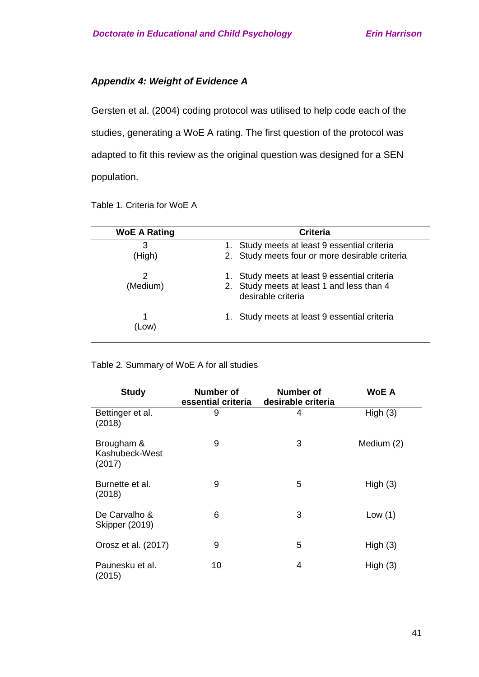# *Appendix 4: Weight of Evidence A*

Gersten et al. (2004) coding protocol was utilised to help code each of the studies, generating a WoE A rating. The first question of the protocol was adapted to fit this review as the original question was designed for a SEN population.

| <b>WoE A Rating</b> | <b>Criteria</b>                                                                                              |
|---------------------|--------------------------------------------------------------------------------------------------------------|
| 3<br>(High)         | Study meets at least 9 essential criteria<br>1.<br>2. Study meets four or more desirable criteria            |
| 2<br>(Medium)       | Study meets at least 9 essential criteria<br>2. Study meets at least 1 and less than 4<br>desirable criteria |
| (Low)               | Study meets at least 9 essential criteria<br>1.                                                              |

Table 1. Criteria for WoE A

Table 2. Summary of WoE A for all studies

| <b>Study</b>                           | Number of<br>essential criteria | Number of<br>desirable criteria | <b>WoE A</b> |  |
|----------------------------------------|---------------------------------|---------------------------------|--------------|--|
| Bettinger et al.<br>(2018)             | 9                               | 4                               | High $(3)$   |  |
| Brougham &<br>Kashubeck-West<br>(2017) | 9                               | 3                               | Medium (2)   |  |
| Burnette et al.<br>(2018)              | 9                               | 5                               | High $(3)$   |  |
| De Carvalho &<br><b>Skipper (2019)</b> | 6                               | 3                               | Low $(1)$    |  |
| Orosz et al. (2017)                    | 9                               | 5                               | High $(3)$   |  |
| Paunesku et al.<br>(2015)              | 10                              | 4                               | High $(3)$   |  |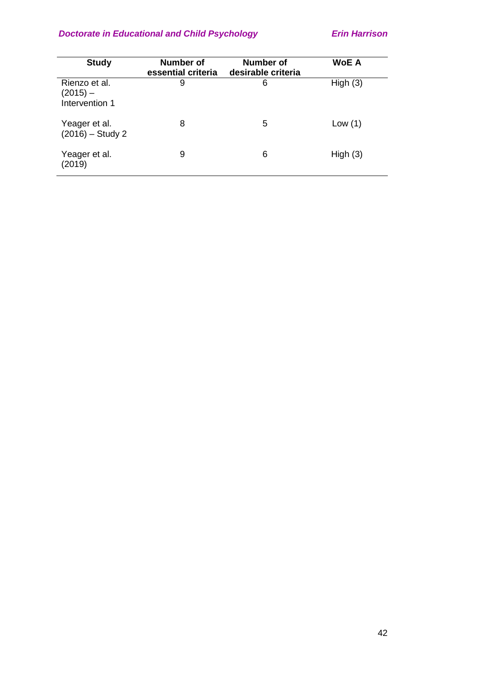| <b>Study</b>                                | <b>Number of</b><br>essential criteria | Number of<br>desirable criteria | <b>WoE A</b> |
|---------------------------------------------|----------------------------------------|---------------------------------|--------------|
| Rienzo et al.<br>(2015) —<br>Intervention 1 | 9                                      | 6                               | High $(3)$   |
| Yeager et al.<br>$(2016) -$ Study 2         | 8                                      | 5                               | Low $(1)$    |
| Yeager et al.<br>(2019)                     | 9                                      | 6                               | High $(3)$   |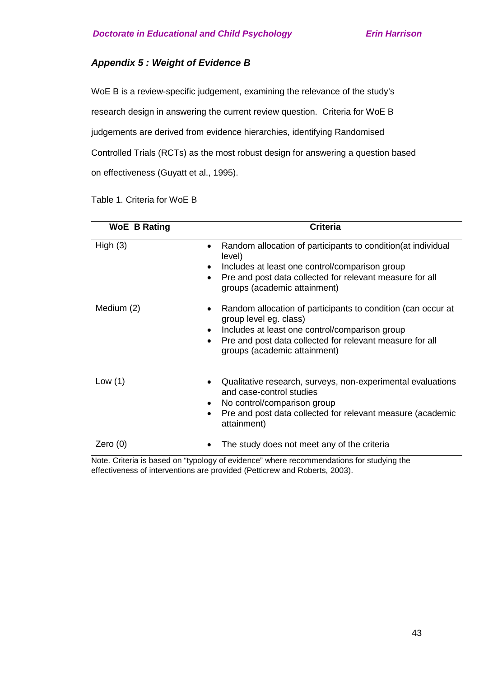# *Appendix 5 : Weight of Evidence B*

WoE B is a review-specific judgement, examining the relevance of the study's research design in answering the current review question. Criteria for WoE B judgements are derived from evidence hierarchies, identifying Randomised Controlled Trials (RCTs) as the most robust design for answering a question based on effectiveness (Guyatt et al., 1995).

| <b>WoE B Rating</b>                                     | <b>Criteria</b>                                                                                                                                                                                                                                                                                                                                                                                                   |
|---------------------------------------------------------|-------------------------------------------------------------------------------------------------------------------------------------------------------------------------------------------------------------------------------------------------------------------------------------------------------------------------------------------------------------------------------------------------------------------|
| High(3)                                                 | Random allocation of participants to condition (at individual<br>level)<br>Includes at least one control/comparison group<br>Pre and post data collected for relevant measure for all<br>$\bullet$<br>groups (academic attainment)                                                                                                                                                                                |
| Medium (2)                                              | Random allocation of participants to condition (can occur at<br>group level eg. class)<br>Includes at least one control/comparison group<br>$\bullet$<br>Pre and post data collected for relevant measure for all<br>$\bullet$<br>groups (academic attainment)                                                                                                                                                    |
| Low $(1)$                                               | Qualitative research, surveys, non-experimental evaluations<br>and case-control studies<br>No control/comparison group<br>Pre and post data collected for relevant measure (academic<br>attainment)                                                                                                                                                                                                               |
| Zero $(0)$<br>Maria College and the first<br>$66.4 - 1$ | The study does not meet any of the criteria<br>and the contribution of the state of the state of the state of the state of the state of the state of the state of the state of the state of the state of the state of the state of the state of the state of the state of the<br>the contract of the contract of the contract of the contract of the contract of the contract of the contract of<br>and the state |

Table 1. Criteria for WoE B

Note. Criteria is based on "typology of evidence" where recommendations for studying the effectiveness of interventions are provided (Petticrew and Roberts, 2003).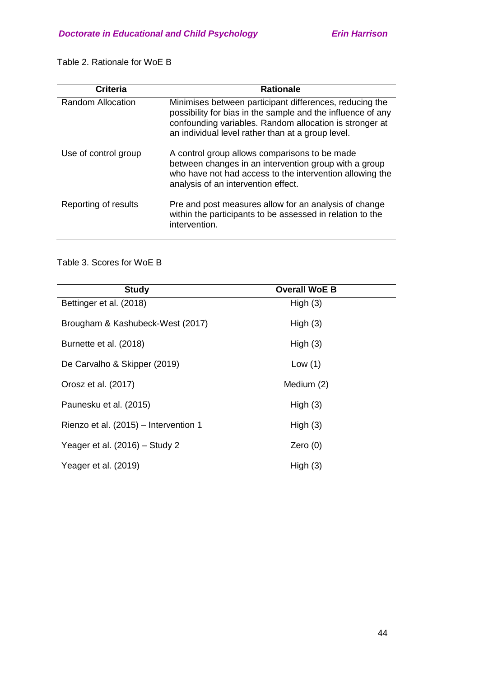Table 2. Rationale for WoE B

| <b>Criteria</b>          | <b>Rationale</b>                                                                                                                                                                                                                       |
|--------------------------|----------------------------------------------------------------------------------------------------------------------------------------------------------------------------------------------------------------------------------------|
| <b>Random Allocation</b> | Minimises between participant differences, reducing the<br>possibility for bias in the sample and the influence of any<br>confounding variables. Random allocation is stronger at<br>an individual level rather than at a group level. |
| Use of control group     | A control group allows comparisons to be made<br>between changes in an intervention group with a group<br>who have not had access to the intervention allowing the<br>analysis of an intervention effect.                              |
| Reporting of results     | Pre and post measures allow for an analysis of change<br>within the participants to be assessed in relation to the<br>intervention.                                                                                                    |

# Table 3. Scores for WoE B

| <b>Study</b>                          | <b>Overall WoE B</b> |
|---------------------------------------|----------------------|
| Bettinger et al. (2018)               | High $(3)$           |
| Brougham & Kashubeck-West (2017)      | High $(3)$           |
| Burnette et al. (2018)                | High $(3)$           |
| De Carvalho & Skipper (2019)          | Low $(1)$            |
| Orosz et al. (2017)                   | Medium (2)           |
| Paunesku et al. (2015)                | High(3)              |
| Rienzo et al. (2015) – Intervention 1 | High $(3)$           |
| Yeager et al. (2016) - Study 2        | Zero $(0)$           |
| Yeager et al. (2019)                  | High $(3)$           |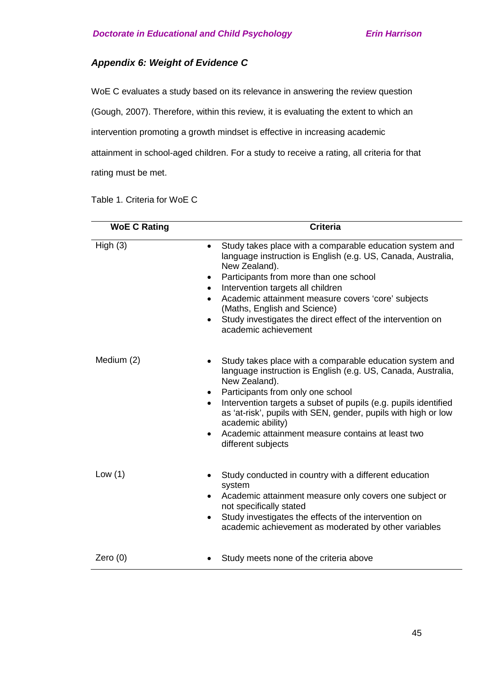# *Appendix 6: Weight of Evidence C*

WoE C evaluates a study based on its relevance in answering the review question

(Gough, 2007). Therefore, within this review, it is evaluating the extent to which an

intervention promoting a growth mindset is effective in increasing academic

attainment in school-aged children. For a study to receive a rating, all criteria for that rating must be met.

Table 1. Criteria for WoE C

| <b>WoE C Rating</b> | <b>Criteria</b>                                                                                                                                                                                                                                                                                                                                                                                                                                    |
|---------------------|----------------------------------------------------------------------------------------------------------------------------------------------------------------------------------------------------------------------------------------------------------------------------------------------------------------------------------------------------------------------------------------------------------------------------------------------------|
| High(3)             | Study takes place with a comparable education system and<br>$\bullet$<br>language instruction is English (e.g. US, Canada, Australia,<br>New Zealand).<br>Participants from more than one school<br>٠<br>Intervention targets all children<br>$\bullet$<br>Academic attainment measure covers 'core' subjects<br>(Maths, English and Science)<br>Study investigates the direct effect of the intervention on<br>$\bullet$<br>academic achievement  |
| Medium (2)          | Study takes place with a comparable education system and<br>language instruction is English (e.g. US, Canada, Australia,<br>New Zealand).<br>Participants from only one school<br>٠<br>Intervention targets a subset of pupils (e.g. pupils identified<br>$\bullet$<br>as 'at-risk', pupils with SEN, gender, pupils with high or low<br>academic ability)<br>Academic attainment measure contains at least two<br>$\bullet$<br>different subjects |
| Low $(1)$           | Study conducted in country with a different education<br>system<br>Academic attainment measure only covers one subject or<br>$\bullet$<br>not specifically stated<br>Study investigates the effects of the intervention on<br>٠<br>academic achievement as moderated by other variables                                                                                                                                                            |
| Zero $(0)$          | Study meets none of the criteria above                                                                                                                                                                                                                                                                                                                                                                                                             |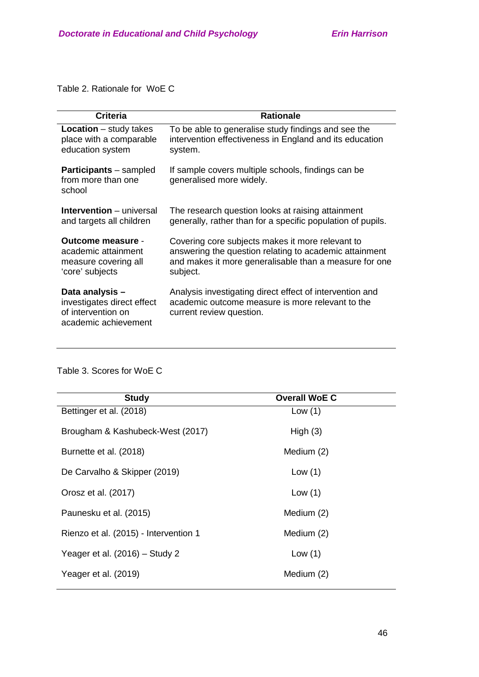Table 2. Rationale for WoE C

| <b>Criteria</b>                                                                            | <b>Rationale</b>                                                                                                                         |  |
|--------------------------------------------------------------------------------------------|------------------------------------------------------------------------------------------------------------------------------------------|--|
| <b>Location</b> $-$ study takes                                                            | To be able to generalise study findings and see the                                                                                      |  |
| place with a comparable                                                                    | intervention effectiveness in England and its education                                                                                  |  |
| education system                                                                           | system.                                                                                                                                  |  |
| <b>Participants</b> – sampled<br>from more than one<br>school                              | If sample covers multiple schools, findings can be<br>generalised more widely.                                                           |  |
| <b>Intervention</b> – universal                                                            | The research question looks at raising attainment                                                                                        |  |
| and targets all children                                                                   | generally, rather than for a specific population of pupils.                                                                              |  |
| Outcome measure -                                                                          | Covering core subjects makes it more relevant to                                                                                         |  |
| academic attainment                                                                        | answering the question relating to academic attainment                                                                                   |  |
| measure covering all                                                                       | and makes it more generalisable than a measure for one                                                                                   |  |
| 'core' subjects                                                                            | subject.                                                                                                                                 |  |
| Data analysis-<br>investigates direct effect<br>of intervention on<br>academic achievement | Analysis investigating direct effect of intervention and<br>academic outcome measure is more relevant to the<br>current review question. |  |

<u> 1980 - Johann Barn, mars ann an t-Amhain Aonaichte ann an t-Amhain Aonaichte ann an t-Amhain Aonaichte ann an</u>

Table 3. Scores for WoE C

| <b>Study</b>                          | <b>Overall WoE C</b> |
|---------------------------------------|----------------------|
| Bettinger et al. (2018)               | Low $(1)$            |
| Brougham & Kashubeck-West (2017)      | High $(3)$           |
| Burnette et al. (2018)                | Medium (2)           |
| De Carvalho & Skipper (2019)          | Low $(1)$            |
| Orosz et al. (2017)                   | Low $(1)$            |
| Paunesku et al. (2015)                | Medium (2)           |
| Rienzo et al. (2015) - Intervention 1 | Medium (2)           |
| Yeager et al. (2016) - Study 2        | Low $(1)$            |
| Yeager et al. (2019)                  | Medium (2)           |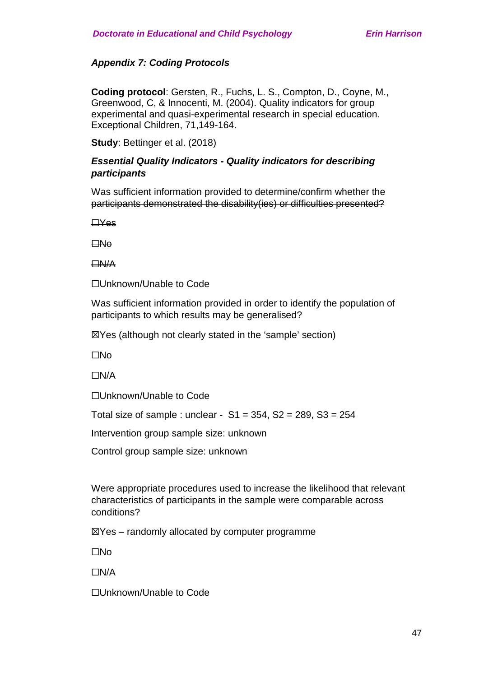# *Appendix 7: Coding Protocols*

**Coding protocol**: Gersten, R., Fuchs, L. S., Compton, D., Coyne, M., Greenwood, C, & Innocenti, M. (2004). Quality indicators for group experimental and quasi-experimental research in special education. Exceptional Children, 71,149-164.

**Study**: Bettinger et al. (2018)

## *Essential Quality Indicators - Quality indicators for describing participants*

Was sufficient information provided to determine/confirm whether the participants demonstrated the disability(ies) or difficulties presented?

☐Yes

 $\square$ No

☐N/A

**□Unknown/Unable to Code** 

Was sufficient information provided in order to identify the population of participants to which results may be generalised?

☒Yes (although not clearly stated in the 'sample' section)

☐No

☐N/A

☐Unknown/Unable to Code

Total size of sample : unclear -  $S1 = 354$ ,  $S2 = 289$ ,  $S3 = 254$ 

Intervention group sample size: unknown

Control group sample size: unknown

Were appropriate procedures used to increase the likelihood that relevant characteristics of participants in the sample were comparable across conditions?

 $\mathbb{Z}$ Yes – randomly allocated by computer programme

☐No

☐N/A

☐Unknown/Unable to Code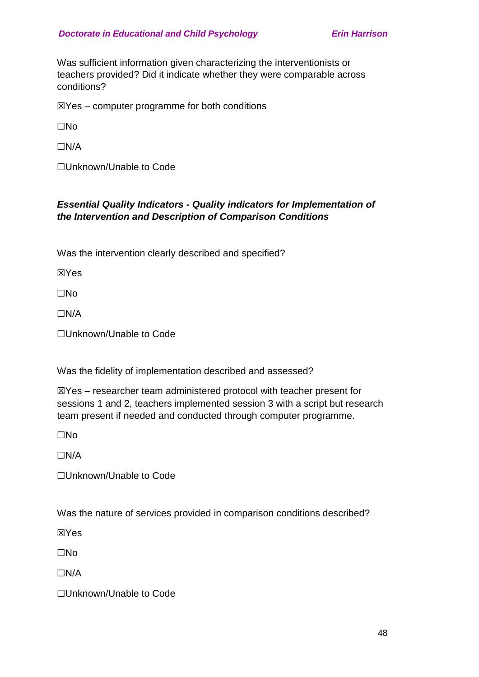Was sufficient information given characterizing the interventionists or teachers provided? Did it indicate whether they were comparable across conditions?

 $\mathbb{Z}$ Yes – computer programme for both conditions

☐No

 $\Box N/A$ 

☐Unknown/Unable to Code

# *Essential Quality Indicators - Quality indicators for Implementation of the Intervention and Description of Comparison Conditions*

Was the intervention clearly described and specified?

☒Yes

☐No

 $\Box N/A$ 

☐Unknown/Unable to Code

Was the fidelity of implementation described and assessed?

☒Yes – researcher team administered protocol with teacher present for sessions 1 and 2, teachers implemented session 3 with a script but research team present if needed and conducted through computer programme.

☐No

 $\Box N/A$ 

☐Unknown/Unable to Code

Was the nature of services provided in comparison conditions described?

☒Yes

☐No

☐N/A

☐Unknown/Unable to Code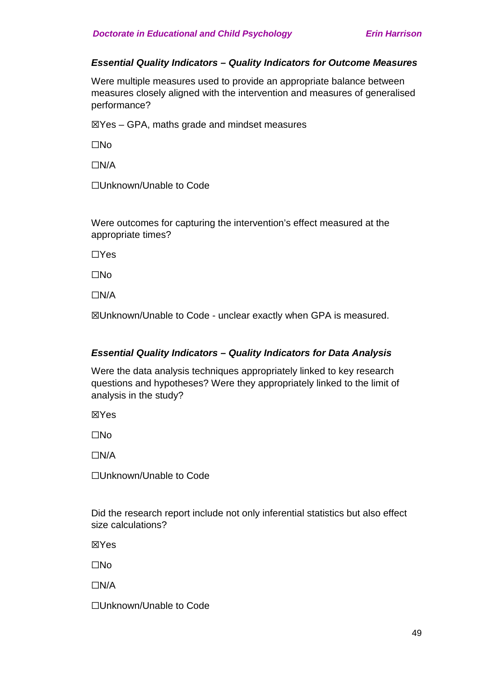## *Essential Quality Indicators – Quality Indicators for Outcome Measures*

Were multiple measures used to provide an appropriate balance between measures closely aligned with the intervention and measures of generalised performance?

 $\mathbb{Z}$ Yes – GPA, maths grade and mindset measures

☐No

☐N/A

☐Unknown/Unable to Code

Were outcomes for capturing the intervention's effect measured at the appropriate times?

☐Yes

☐No

☐N/A

☒Unknown/Unable to Code - unclear exactly when GPA is measured.

## *Essential Quality Indicators – Quality Indicators for Data Analysis*

Were the data analysis techniques appropriately linked to key research questions and hypotheses? Were they appropriately linked to the limit of analysis in the study?

☒Yes

☐No

☐N/A

☐Unknown/Unable to Code

Did the research report include not only inferential statistics but also effect size calculations?

☒Yes

☐No

☐N/A

☐Unknown/Unable to Code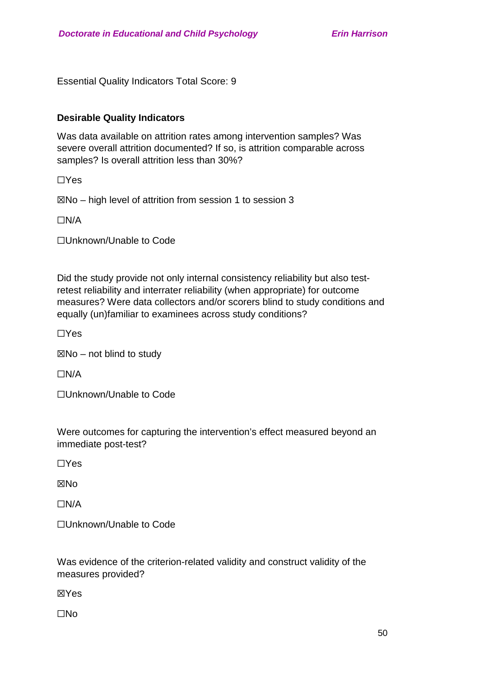Essential Quality Indicators Total Score: 9

# **Desirable Quality Indicators**

Was data available on attrition rates among intervention samples? Was severe overall attrition documented? If so, is attrition comparable across samples? Is overall attrition less than 30%?

☐Yes

 $\boxtimes$ No – high level of attrition from session 1 to session 3

☐N/A

☐Unknown/Unable to Code

Did the study provide not only internal consistency reliability but also testretest reliability and interrater reliability (when appropriate) for outcome measures? Were data collectors and/or scorers blind to study conditions and equally (un)familiar to examinees across study conditions?

☐Yes

 $\boxtimes$ No – not blind to study

☐N/A

☐Unknown/Unable to Code

Were outcomes for capturing the intervention's effect measured beyond an immediate post-test?

☐Yes

**XNo** 

 $\Box N/A$ 

☐Unknown/Unable to Code

Was evidence of the criterion-related validity and construct validity of the measures provided?

☒Yes

☐No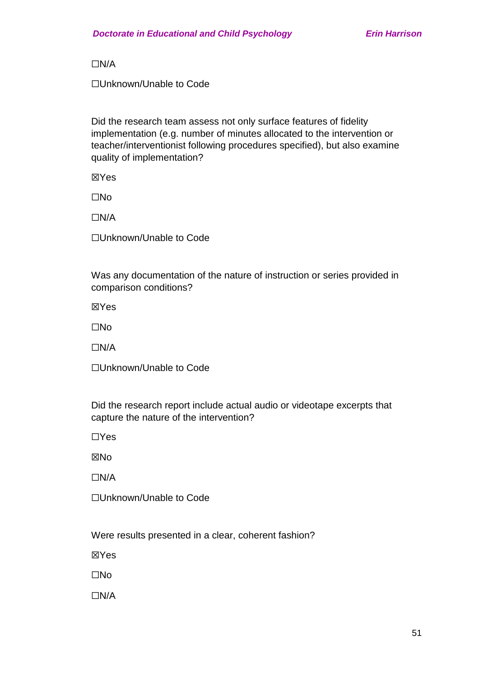☐N/A

☐Unknown/Unable to Code

Did the research team assess not only surface features of fidelity implementation (e.g. number of minutes allocated to the intervention or teacher/interventionist following procedures specified), but also examine quality of implementation?

☒Yes

☐No

☐N/A

☐Unknown/Unable to Code

Was any documentation of the nature of instruction or series provided in comparison conditions?

☒Yes

☐No

☐N/A

☐Unknown/Unable to Code

Did the research report include actual audio or videotape excerpts that capture the nature of the intervention?

☐Yes

☒No

 $\Box N/A$ 

☐Unknown/Unable to Code

Were results presented in a clear, coherent fashion?

☒Yes

☐No

☐N/A